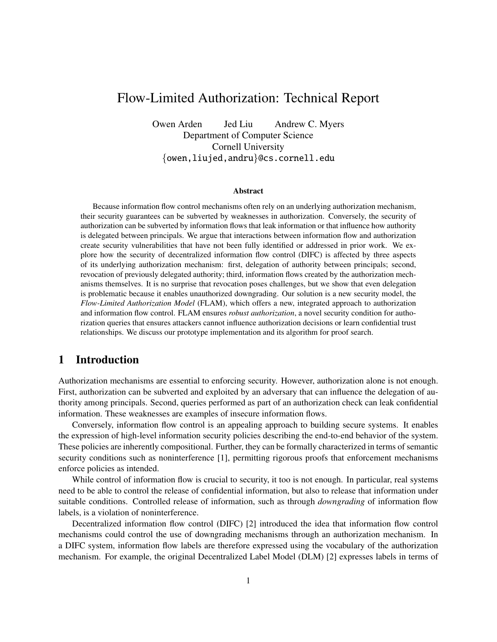# Flow-Limited Authorization: Technical Report

Owen Arden Jed Liu Andrew C. Myers Department of Computer Science Cornell University {owen,liujed,andru}@cs.cornell.edu

#### Abstract

Because information flow control mechanisms often rely on an underlying authorization mechanism, their security guarantees can be subverted by weaknesses in authorization. Conversely, the security of authorization can be subverted by information flows that leak information or that influence how authority is delegated between principals. We argue that interactions between information flow and authorization create security vulnerabilities that have not been fully identified or addressed in prior work. We explore how the security of decentralized information flow control (DIFC) is affected by three aspects of its underlying authorization mechanism: first, delegation of authority between principals; second, revocation of previously delegated authority; third, information flows created by the authorization mechanisms themselves. It is no surprise that revocation poses challenges, but we show that even delegation is problematic because it enables unauthorized downgrading. Our solution is a new security model, the *Flow-Limited Authorization Model* (FLAM), which offers a new, integrated approach to authorization and information flow control. FLAM ensures *robust authorization*, a novel security condition for authorization queries that ensures attackers cannot influence authorization decisions or learn confidential trust relationships. We discuss our prototype implementation and its algorithm for proof search.

### 1 Introduction

Authorization mechanisms are essential to enforcing security. However, authorization alone is not enough. First, authorization can be subverted and exploited by an adversary that can influence the delegation of authority among principals. Second, queries performed as part of an authorization check can leak confidential information. These weaknesses are examples of insecure information flows.

Conversely, information flow control is an appealing approach to building secure systems. It enables the expression of high-level information security policies describing the end-to-end behavior of the system. These policies are inherently compositional. Further, they can be formally characterized in terms of semantic security conditions such as noninterference [\[1\]](#page-28-0), permitting rigorous proofs that enforcement mechanisms enforce policies as intended.

While control of information flow is crucial to security, it too is not enough. In particular, real systems need to be able to control the release of confidential information, but also to release that information under suitable conditions. Controlled release of information, such as through *downgrading* of information flow labels, is a violation of noninterference.

Decentralized information flow control (DIFC) [\[2\]](#page-28-1) introduced the idea that information flow control mechanisms could control the use of downgrading mechanisms through an authorization mechanism. In a DIFC system, information flow labels are therefore expressed using the vocabulary of the authorization mechanism. For example, the original Decentralized Label Model (DLM) [\[2\]](#page-28-1) expresses labels in terms of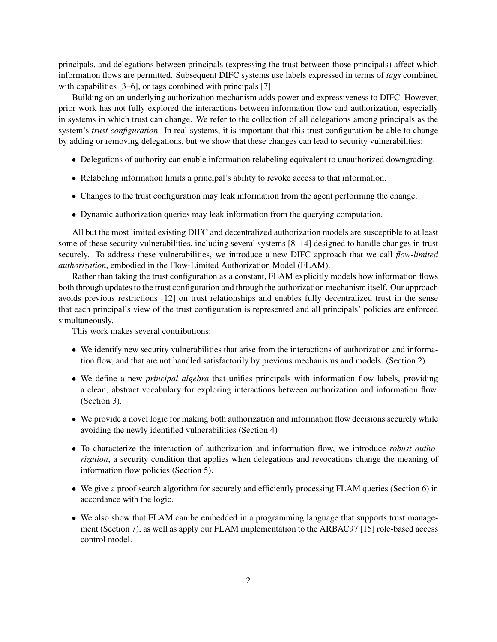principals, and delegations between principals (expressing the trust between those principals) affect which information flows are permitted. Subsequent DIFC systems use labels expressed in terms of *tags* combined with capabilities [\[3–](#page-28-2)[6\]](#page-28-3), or tags combined with principals [\[7\]](#page-29-0).

Building on an underlying authorization mechanism adds power and expressiveness to DIFC. However, prior work has not fully explored the interactions between information flow and authorization, especially in systems in which trust can change. We refer to the collection of all delegations among principals as the system's *trust configuration*. In real systems, it is important that this trust configuration be able to change by adding or removing delegations, but we show that these changes can lead to security vulnerabilities:

- Delegations of authority can enable information relabeling equivalent to unauthorized downgrading.
- Relabeling information limits a principal's ability to revoke access to that information.
- Changes to the trust configuration may leak information from the agent performing the change.
- Dynamic authorization queries may leak information from the querying computation.

All but the most limited existing DIFC and decentralized authorization models are susceptible to at least some of these security vulnerabilities, including several systems [\[8](#page-29-1)[–14\]](#page-29-2) designed to handle changes in trust securely. To address these vulnerabilities, we introduce a new DIFC approach that we call *flow-limited authorization*, embodied in the Flow-Limited Authorization Model (FLAM).

Rather than taking the trust configuration as a constant, FLAM explicitly models how information flows both through updates to the trust configuration and through the authorization mechanism itself. Our approach avoids previous restrictions [\[12\]](#page-29-3) on trust relationships and enables fully decentralized trust in the sense that each principal's view of the trust configuration is represented and all principals' policies are enforced simultaneously.

This work makes several contributions:

- We identify new security vulnerabilities that arise from the interactions of authorization and information flow, and that are not handled satisfactorily by previous mechanisms and models. (Section [2\)](#page-2-0).
- We define a new *principal algebra* that unifies principals with information flow labels, providing a clean, abstract vocabulary for exploring interactions between authorization and information flow. (Section [3\)](#page-5-0).
- We provide a novel logic for making both authorization and information flow decisions securely while avoiding the newly identified vulnerabilities (Section [4\)](#page-10-0)
- To characterize the interaction of authorization and information flow, we introduce *robust authorization*, a security condition that applies when delegations and revocations change the meaning of information flow policies (Section [5\)](#page-15-0).
- We give a proof search algorithm for securely and efficiently processing FLAM queries (Section [6\)](#page-17-0) in accordance with the logic.
- We also show that FLAM can be embedded in a programming language that supports trust management (Section [7\)](#page-22-0), as well as apply our FLAM implementation to the ARBAC97 [\[15\]](#page-29-4) role-based access control model.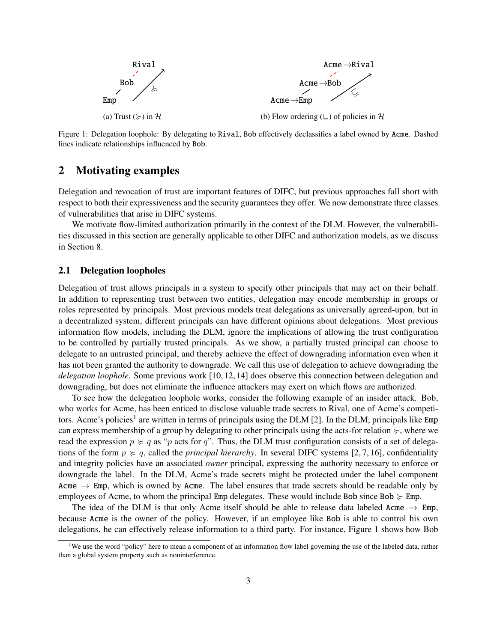<span id="page-2-2"></span>

Figure 1: Delegation loophole: By delegating to Rival, Bob effectively declassifies a label owned by Acme. Dashed lines indicate relationships influenced by Bob.

### <span id="page-2-0"></span>2 Motivating examples

Delegation and revocation of trust are important features of DIFC, but previous approaches fall short with respect to both their expressiveness and the security guarantees they offer. We now demonstrate three classes of vulnerabilities that arise in DIFC systems.

We motivate flow-limited authorization primarily in the context of the DLM. However, the vulnerabilities discussed in this section are generally applicable to other DIFC and authorization models, as we discuss in Section [8.](#page-26-0)

#### <span id="page-2-3"></span>2.1 Delegation loopholes

Delegation of trust allows principals in a system to specify other principals that may act on their behalf. In addition to representing trust between two entities, delegation may encode membership in groups or roles represented by principals. Most previous models treat delegations as universally agreed-upon, but in a decentralized system, different principals can have different opinions about delegations. Most previous information flow models, including the DLM, ignore the implications of allowing the trust configuration to be controlled by partially trusted principals. As we show, a partially trusted principal can choose to delegate to an untrusted principal, and thereby achieve the effect of downgrading information even when it has not been granted the authority to downgrade. We call this use of delegation to achieve downgrading the *delegation loophole*. Some previous work [\[10,](#page-29-5) [12,](#page-29-3) [14\]](#page-29-2) does observe this connection between delegation and downgrading, but does not eliminate the influence attackers may exert on which flows are authorized.

To see how the delegation loophole works, consider the following example of an insider attack. Bob, who works for Acme, has been enticed to disclose valuable trade secrets to Rival, one of Acme's competi-tors. Acme's policies<sup>[1](#page-2-1)</sup> are written in terms of principals using the DLM [\[2\]](#page-28-1). In the DLM, principals like Emp can express membership of a group by delegating to other principals using the acts-for relation  $\succcurlyeq$ , where we read the expression  $p \succcurlyeq q$  as "p acts for q". Thus, the DLM trust configuration consists of a set of delegations of the form  $p \geq q$ , called the *principal hierarchy*. In several DIFC systems [\[2,](#page-28-1) [7,](#page-29-0) [16\]](#page-29-6), confidentiality and integrity policies have an associated *owner* principal, expressing the authority necessary to enforce or downgrade the label. In the DLM, Acme's trade secrets might be protected under the label component Acme  $\rightarrow$  Emp, which is owned by Acme. The label ensures that trade secrets should be readable only by employees of Acme, to whom the principal Emp delegates. These would include Bob since Bob  $\succeq$  Emp.

The idea of the DLM is that only Acme itself should be able to release data labeled Acme  $\rightarrow$  Emp, because Acme is the owner of the policy. However, if an employee like Bob is able to control his own delegations, he can effectively release information to a third party. For instance, Figure [1](#page-2-2) shows how Bob

<span id="page-2-1"></span><sup>&</sup>lt;sup>1</sup>We use the word "policy" here to mean a component of an information flow label governing the use of the labeled data, rather than a global system property such as noninterference.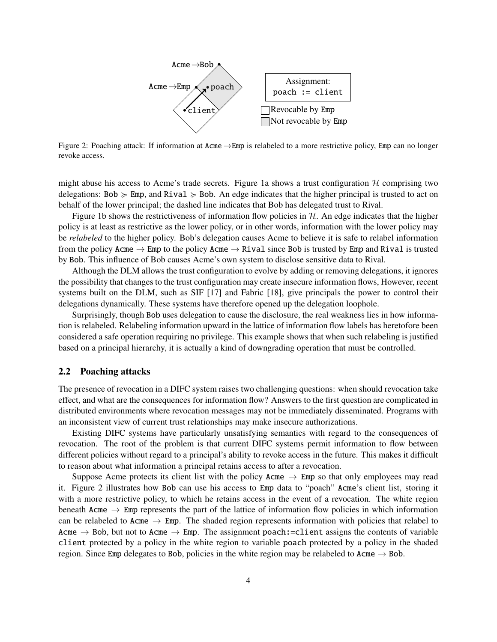<span id="page-3-0"></span>

Figure 2: Poaching attack: If information at Acme →Emp is relabeled to a more restrictive policy, Emp can no longer revoke access.

might abuse his access to Acme's trade secrets. Figure [1a](#page-2-2) shows a trust configuration  $H$  comprising two delegations: Bob  $\succeq$  Emp, and Rival  $\succeq$  Bob. An edge indicates that the higher principal is trusted to act on behalf of the lower principal; the dashed line indicates that Bob has delegated trust to Rival.

Figure [1b](#page-2-2) shows the restrictiveness of information flow policies in  $H$ . An edge indicates that the higher policy is at least as restrictive as the lower policy, or in other words, information with the lower policy may be *relabeled* to the higher policy. Bob's delegation causes Acme to believe it is safe to relabel information from the policy Acme  $\rightarrow$  Emp to the policy Acme  $\rightarrow$  Rival since Bob is trusted by Emp and Rival is trusted by Bob. This influence of Bob causes Acme's own system to disclose sensitive data to Rival.

Although the DLM allows the trust configuration to evolve by adding or removing delegations, it ignores the possibility that changes to the trust configuration may create insecure information flows, However, recent systems built on the DLM, such as SIF [\[17\]](#page-29-7) and Fabric [\[18\]](#page-29-8), give principals the power to control their delegations dynamically. These systems have therefore opened up the delegation loophole.

Surprisingly, though Bob uses delegation to cause the disclosure, the real weakness lies in how information is relabeled. Relabeling information upward in the lattice of information flow labels has heretofore been considered a safe operation requiring no privilege. This example shows that when such relabeling is justified based on a principal hierarchy, it is actually a kind of downgrading operation that must be controlled.

### <span id="page-3-1"></span>2.2 Poaching attacks

The presence of revocation in a DIFC system raises two challenging questions: when should revocation take effect, and what are the consequences for information flow? Answers to the first question are complicated in distributed environments where revocation messages may not be immediately disseminated. Programs with an inconsistent view of current trust relationships may make insecure authorizations.

Existing DIFC systems have particularly unsatisfying semantics with regard to the consequences of revocation. The root of the problem is that current DIFC systems permit information to flow between different policies without regard to a principal's ability to revoke access in the future. This makes it difficult to reason about what information a principal retains access to after a revocation.

Suppose Acme protects its client list with the policy  $A\text{cme} \rightarrow \text{Emp}$  so that only employees may read it. Figure [2](#page-3-0) illustrates how Bob can use his access to Emp data to "poach" Acme's client list, storing it with a more restrictive policy, to which he retains access in the event of a revocation. The white region beneath Acme  $\rightarrow$  Emp represents the part of the lattice of information flow policies in which information can be relabeled to Acme  $\rightarrow$  Emp. The shaded region represents information with policies that relabel to Acme  $\rightarrow$  Bob, but not to Acme  $\rightarrow$  Emp. The assignment poach:=client assigns the contents of variable client protected by a policy in the white region to variable poach protected by a policy in the shaded region. Since Emp delegates to Bob, policies in the white region may be relabeled to Acme  $\rightarrow$  Bob.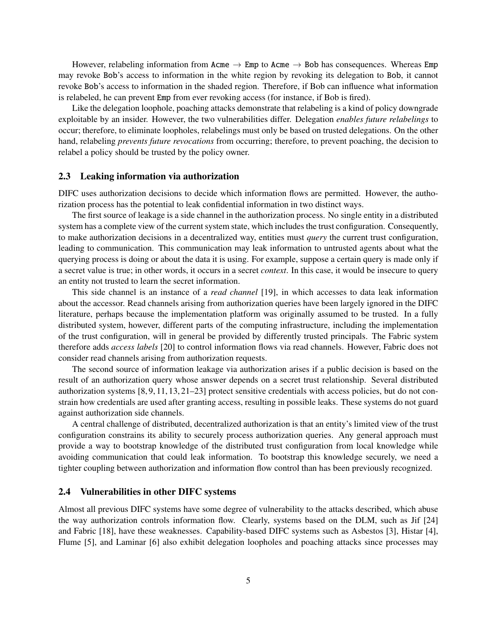However, relabeling information from Acme  $\rightarrow$  Emp to Acme  $\rightarrow$  Bob has consequences. Whereas Emp may revoke Bob's access to information in the white region by revoking its delegation to Bob, it cannot revoke Bob's access to information in the shaded region. Therefore, if Bob can influence what information is relabeled, he can prevent Emp from ever revoking access (for instance, if Bob is fired).

Like the delegation loophole, poaching attacks demonstrate that relabeling is a kind of policy downgrade exploitable by an insider. However, the two vulnerabilities differ. Delegation *enables future relabelings* to occur; therefore, to eliminate loopholes, relabelings must only be based on trusted delegations. On the other hand, relabeling *prevents future revocations* from occurring; therefore, to prevent poaching, the decision to relabel a policy should be trusted by the policy owner.

#### <span id="page-4-0"></span>2.3 Leaking information via authorization

DIFC uses authorization decisions to decide which information flows are permitted. However, the authorization process has the potential to leak confidential information in two distinct ways.

The first source of leakage is a side channel in the authorization process. No single entity in a distributed system has a complete view of the current system state, which includes the trust configuration. Consequently, to make authorization decisions in a decentralized way, entities must *query* the current trust configuration, leading to communication. This communication may leak information to untrusted agents about what the querying process is doing or about the data it is using. For example, suppose a certain query is made only if a secret value is true; in other words, it occurs in a secret *context*. In this case, it would be insecure to query an entity not trusted to learn the secret information.

This side channel is an instance of a *read channel* [\[19\]](#page-29-9), in which accesses to data leak information about the accessor. Read channels arising from authorization queries have been largely ignored in the DIFC literature, perhaps because the implementation platform was originally assumed to be trusted. In a fully distributed system, however, different parts of the computing infrastructure, including the implementation of the trust configuration, will in general be provided by differently trusted principals. The Fabric system therefore adds *access labels* [\[20\]](#page-29-10) to control information flows via read channels. However, Fabric does not consider read channels arising from authorization requests.

The second source of information leakage via authorization arises if a public decision is based on the result of an authorization query whose answer depends on a secret trust relationship. Several distributed authorization systems [\[8,](#page-29-1) [9,](#page-29-11) [11,](#page-29-12) [13,](#page-29-13) [21–](#page-29-14)[23\]](#page-30-0) protect sensitive credentials with access policies, but do not constrain how credentials are used after granting access, resulting in possible leaks. These systems do not guard against authorization side channels.

A central challenge of distributed, decentralized authorization is that an entity's limited view of the trust configuration constrains its ability to securely process authorization queries. Any general approach must provide a way to bootstrap knowledge of the distributed trust configuration from local knowledge while avoiding communication that could leak information. To bootstrap this knowledge securely, we need a tighter coupling between authorization and information flow control than has been previously recognized.

#### 2.4 Vulnerabilities in other DIFC systems

Almost all previous DIFC systems have some degree of vulnerability to the attacks described, which abuse the way authorization controls information flow. Clearly, systems based on the DLM, such as Jif [\[24\]](#page-30-1) and Fabric [\[18\]](#page-29-8), have these weaknesses. Capability-based DIFC systems such as Asbestos [\[3\]](#page-28-2), Histar [\[4\]](#page-28-4), Flume [\[5\]](#page-28-5), and Laminar [\[6\]](#page-28-3) also exhibit delegation loopholes and poaching attacks since processes may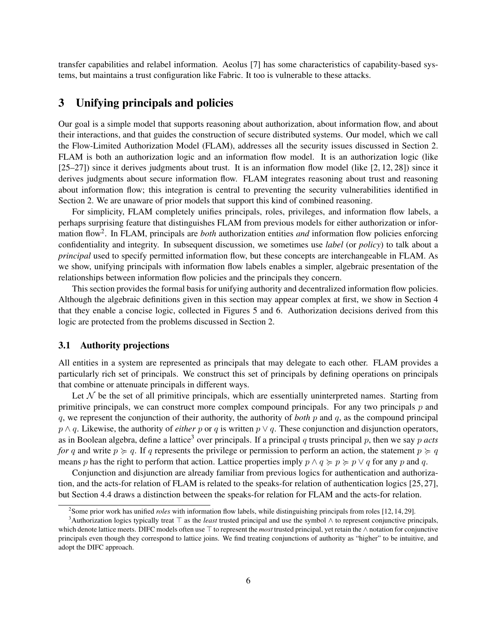transfer capabilities and relabel information. Aeolus [\[7\]](#page-29-0) has some characteristics of capability-based systems, but maintains a trust configuration like Fabric. It too is vulnerable to these attacks.

### <span id="page-5-0"></span>3 Unifying principals and policies

Our goal is a simple model that supports reasoning about authorization, about information flow, and about their interactions, and that guides the construction of secure distributed systems. Our model, which we call the Flow-Limited Authorization Model (FLAM), addresses all the security issues discussed in Section [2.](#page-2-0) FLAM is both an authorization logic and an information flow model. It is an authorization logic (like [\[25–](#page-30-2)[27\]](#page-30-3)) since it derives judgments about trust. It is an information flow model (like [\[2,](#page-28-1) [12,](#page-29-3) [28\]](#page-30-4)) since it derives judgments about secure information flow. FLAM integrates reasoning about trust and reasoning about information flow; this integration is central to preventing the security vulnerabilities identified in Section [2.](#page-2-0) We are unaware of prior models that support this kind of combined reasoning.

For simplicity, FLAM completely unifies principals, roles, privileges, and information flow labels, a perhaps surprising feature that distinguishes FLAM from previous models for either authorization or information flow[2](#page-5-1) . In FLAM, principals are *both* authorization entities *and* information flow policies enforcing confidentiality and integrity. In subsequent discussion, we sometimes use *label* (or *policy*) to talk about a *principal* used to specify permitted information flow, but these concepts are interchangeable in FLAM. As we show, unifying principals with information flow labels enables a simpler, algebraic presentation of the relationships between information flow policies and the principals they concern.

This section provides the formal basis for unifying authority and decentralized information flow policies. Although the algebraic definitions given in this section may appear complex at first, we show in Section [4](#page-10-0) that they enable a concise logic, collected in Figures [5](#page-13-0) and [6.](#page-14-0) Authorization decisions derived from this logic are protected from the problems discussed in Section [2.](#page-2-0)

### 3.1 Authority projections

All entities in a system are represented as principals that may delegate to each other. FLAM provides a particularly rich set of principals. We construct this set of principals by defining operations on principals that combine or attenuate principals in different ways.

Let  $N$  be the set of all primitive principals, which are essentially uninterpreted names. Starting from primitive principals, we can construct more complex compound principals. For any two principals  $p$  and q, we represent the conjunction of their authority, the authority of *both* p and q, as the compound principal p ∧ q. Likewise, the authority of *either* p or q is written  $p \lor q$ . These conjunction and disjunction operators, as in Boolean algebra, define a lattice<sup>[3](#page-5-2)</sup> over principals. If a principal q trusts principal  $p$ , then we say  $p$  *acts for* q and write  $p \ge q$ . If q represents the privilege or permission to perform an action, the statement  $p \ge q$ means p has the right to perform that action. Lattice properties imply  $p \wedge q \succcurlyeq p \succ q$  for any p and q.

Conjunction and disjunction are already familiar from previous logics for authentication and authorization, and the acts-for relation of FLAM is related to the speaks-for relation of authentication logics [\[25,](#page-30-2)[27\]](#page-30-3), but Section [4.4](#page-12-0) draws a distinction between the speaks-for relation for FLAM and the acts-for relation.

<span id="page-5-2"></span><span id="page-5-1"></span><sup>2</sup> Some prior work has unified *roles* with information flow labels, while distinguishing principals from roles [\[12,](#page-29-3) [14,](#page-29-2) [29\]](#page-30-5).

<sup>3</sup>Authorization logics typically treat > as the *least* trusted principal and use the symbol ∧ to represent conjunctive principals, which denote lattice meets. DIFC models often use ⊤ to represent the *most* trusted principal, yet retain the ∧ notation for conjunctive principals even though they correspond to lattice joins. We find treating conjunctions of authority as "higher" to be intuitive, and adopt the DIFC approach.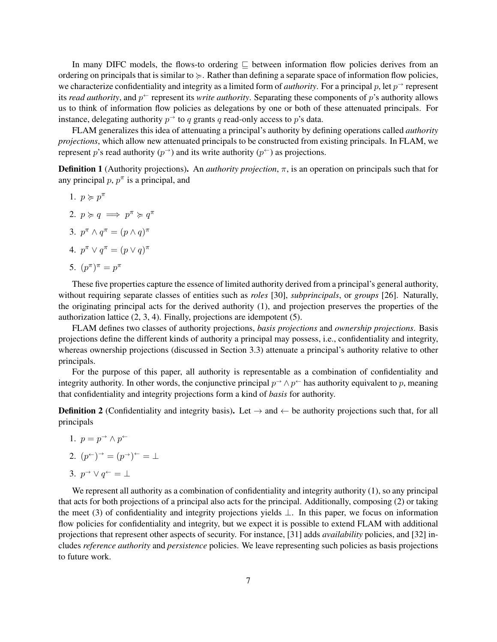In many DIFC models, the flows-to ordering  $\subseteq$  between information flow policies derives from an ordering on principals that is similar to  $\succcurlyeq$ . Rather than defining a separate space of information flow policies, we characterize confidentiality and integrity as a limited form of *authority*. For a principal p, let  $p^{\rightarrow}$  represent its *read authority*, and p <sup>←</sup> represent its *write authority*. Separating these components of p's authority allows us to think of information flow policies as delegations by one or both of these attenuated principals. For instance, delegating authority  $p^{\rightarrow}$  to q grants q read-only access to p's data.

FLAM generalizes this idea of attenuating a principal's authority by defining operations called *authority projections*, which allow new attenuated principals to be constructed from existing principals. In FLAM, we represent p's read authority  $(p^{\rightarrow})$  and its write authority  $(p^{\leftarrow})$  as projections.

Definition 1 (Authority projections). An *authority projection*, π, is an operation on principals such that for any principal  $p, p^{\pi}$  is a principal, and

<span id="page-6-2"></span><span id="page-6-1"></span><span id="page-6-0"></span>1.  $p \succcurlyeq p^{\pi}$ 2.  $p \succcurlyeq q \implies p^{\pi} \succcurlyeq q^{\pi}$ 3.  $p^{\pi} \wedge q^{\pi} = (p \wedge q)^{\pi}$ 4.  $p^{\pi} \vee q^{\pi} = (p \vee q)^{\pi}$ 5.  $(p^{\pi})^{\pi} = p^{\pi}$ 

<span id="page-6-4"></span><span id="page-6-3"></span>These five properties capture the essence of limited authority derived from a principal's general authority, without requiring separate classes of entities such as *roles* [\[30\]](#page-30-6), *subprincipals*, or *groups* [\[26\]](#page-30-7). Naturally, the originating principal acts for the derived authority [\(1\)](#page-6-0), and projection preserves the properties of the authorization lattice [\(2,](#page-6-1) [3,](#page-6-2) [4\)](#page-6-3). Finally, projections are idempotent [\(5\)](#page-6-4).

FLAM defines two classes of authority projections, *basis projections* and *ownership projections*. Basis projections define the different kinds of authority a principal may possess, i.e., confidentiality and integrity, whereas ownership projections (discussed in Section [3.3\)](#page-8-0) attenuate a principal's authority relative to other principals.

For the purpose of this paper, all authority is representable as a combination of confidentiality and integrity authority. In other words, the conjunctive principal  $p^{\rightarrow} \wedge p^{\leftarrow}$  has authority equivalent to p, meaning that confidentiality and integrity projections form a kind of *basis* for authority.

**Definition 2** (Confidentiality and integrity basis). Let  $\rightarrow$  and  $\leftarrow$  be authority projections such that, for all principals

<span id="page-6-6"></span><span id="page-6-5"></span>1. 
$$
p = p^{\rightarrow} \land p^{\leftarrow}
$$
  
\n2.  $(p^{\leftarrow})^{\rightarrow} = (p^{\rightarrow})^{\leftarrow} =$   
\n3.  $p^{\rightarrow} \lor q^{\leftarrow} = \bot$ 

 $\perp$ 

<span id="page-6-7"></span>We represent all authority as a combination of confidentiality and integrity authority [\(1\)](#page-6-5), so any principal that acts for both projections of a principal also acts for the principal. Additionally, composing [\(2\)](#page-6-6) or taking the meet [\(3\)](#page-6-7) of confidentiality and integrity projections yields ⊥. In this paper, we focus on information flow policies for confidentiality and integrity, but we expect it is possible to extend FLAM with additional projections that represent other aspects of security. For instance, [\[31\]](#page-30-8) adds *availability* policies, and [\[32\]](#page-30-9) includes *reference authority* and *persistence* policies. We leave representing such policies as basis projections to future work.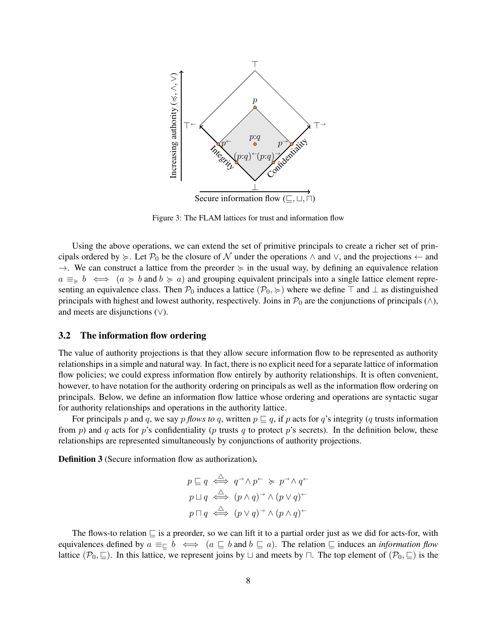<span id="page-7-0"></span>

Figure 3: The FLAM lattices for trust and information flow

Using the above operations, we can extend the set of primitive principals to create a richer set of principals ordered by  $\succeq$ . Let  $\mathcal{P}_0$  be the closure of N under the operations  $\wedge$  and  $\vee$ , and the projections  $\leftarrow$  and  $\rightarrow$ . We can construct a lattice from the preorder  $\succcurlyeq$  in the usual way, by defining an equivalence relation  $a \equiv_{\succ} b \iff (a \succ_{\succ} b \text{ and } b \succ_{\sim} a)$  and grouping equivalent principals into a single lattice element representing an equivalence class. Then  $\mathcal{P}_0$  induces a lattice  $(\mathcal{P}_0, \geq)$  where we define  $\top$  and  $\bot$  as distinguished principals with highest and lowest authority, respectively. Joins in  $\mathcal{P}_0$  are the conjunctions of principals ( $\wedge$ ), and meets are disjunctions (∨).

#### 3.2 The information flow ordering

The value of authority projections is that they allow secure information flow to be represented as authority relationships in a simple and natural way. In fact, there is no explicit need for a separate lattice of information flow policies; we could express information flow entirely by authority relationships. It is often convenient, however, to have notation for the authority ordering on principals as well as the information flow ordering on principals. Below, we define an information flow lattice whose ordering and operations are syntactic sugar for authority relationships and operations in the authority lattice.

For principals p and q, we say p *flows to* q, written  $p \sqsubseteq q$ , if p acts for q's integrity (q trusts information from p) and q acts for p's confidentiality (p trusts q to protect p's secrets). In the definition below, these relationships are represented simultaneously by conjunctions of authority projections.

Definition 3 (Secure information flow as authorization).

$$
p \sqsubseteq q \iff q^{\rightarrow} \land p^{\leftarrow} \succcurlyeq p^{\rightarrow} \land q^{\leftarrow}
$$

$$
p \sqcup q \iff (p \land q)^{\rightarrow} \land (p \lor q)^{\leftarrow}
$$

$$
p \sqcap q \iff (p \lor q)^{\rightarrow} \land (p \land q)^{\leftarrow}
$$

The flows-to relation  $\subseteq$  is a preorder, so we can lift it to a partial order just as we did for acts-for, with equivalences defined by  $a \equiv_{{\sqsubset}} b \iff (a \sqsubseteq b \text{ and } b \sqsubseteq a)$ . The relation  $\sqsubseteq$  induces an *information flow* lattice  $(\mathcal{P}_0, \subseteq)$ . In this lattice, we represent joins by  $\sqcup$  and meets by  $\sqcap$ . The top element of  $(\mathcal{P}_0, \subseteq)$  is the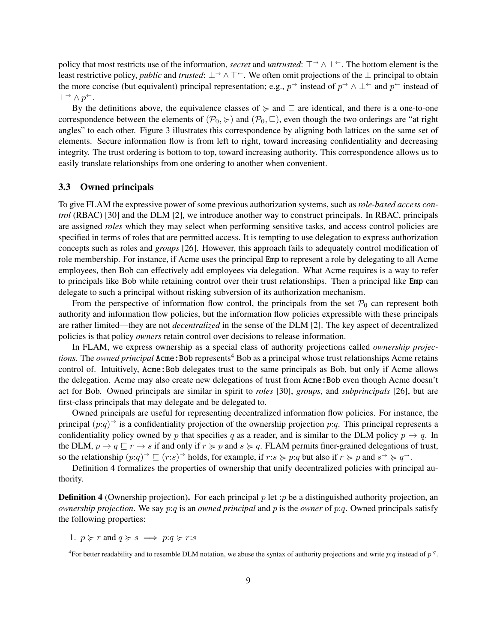policy that most restricts use of the information, *secret* and *untrusted*:  $\top$ <sup>→</sup> ∧ ⊥<sup>←</sup>. The bottom element is the least restrictive policy, *public* and *trusted*: ⊥→ ∧ ⊤←. We often omit projections of the ⊥ principal to obtain the more concise (but equivalent) principal representation; e.g.,  $p^{\rightarrow}$  instead of  $p^{\rightarrow} \wedge \perp^{\leftarrow}$  and  $p^{\leftarrow}$  instead of  $\perp \rightarrow \wedge p^{\leftarrow}.$ 

By the definitions above, the equivalence classes of  $\succeq$  and  $\succeq$  are identical, and there is a one-to-one correspondence between the elements of  $(\mathcal{P}_0, \geq)$  and  $(\mathcal{P}_0, \subseteq)$ , even though the two orderings are "at right angles" to each other. Figure [3](#page-7-0) illustrates this correspondence by aligning both lattices on the same set of elements. Secure information flow is from left to right, toward increasing confidentiality and decreasing integrity. The trust ordering is bottom to top, toward increasing authority. This correspondence allows us to easily translate relationships from one ordering to another when convenient.

### <span id="page-8-0"></span>3.3 Owned principals

To give FLAM the expressive power of some previous authorization systems, such as *role-based access control* (RBAC) [\[30\]](#page-30-6) and the DLM [\[2\]](#page-28-1), we introduce another way to construct principals. In RBAC, principals are assigned *roles* which they may select when performing sensitive tasks, and access control policies are specified in terms of roles that are permitted access. It is tempting to use delegation to express authorization concepts such as roles and *groups* [\[26\]](#page-30-7). However, this approach fails to adequately control modification of role membership. For instance, if Acme uses the principal Emp to represent a role by delegating to all Acme employees, then Bob can effectively add employees via delegation. What Acme requires is a way to refer to principals like Bob while retaining control over their trust relationships. Then a principal like Emp can delegate to such a principal without risking subversion of its authorization mechanism.

From the perspective of information flow control, the principals from the set  $P_0$  can represent both authority and information flow policies, but the information flow policies expressible with these principals are rather limited—they are not *decentralized* in the sense of the DLM [\[2\]](#page-28-1). The key aspect of decentralized policies is that policy *owners* retain control over decisions to release information.

In FLAM, we express ownership as a special class of authority projections called *ownership projections*. The *owned principal* Acme:Bob represents<sup>[4](#page-8-1)</sup> Bob as a principal whose trust relationships Acme retains control of. Intuitively, Acme:Bob delegates trust to the same principals as Bob, but only if Acme allows the delegation. Acme may also create new delegations of trust from Acme:Bob even though Acme doesn't act for Bob. Owned principals are similar in spirit to *roles* [\[30\]](#page-30-6), *groups*, and *subprincipals* [\[26\]](#page-30-7), but are first-class principals that may delegate and be delegated to.

Owned principals are useful for representing decentralized information flow policies. For instance, the principal  $(p:q)^{\rightarrow}$  is a confidentiality projection of the ownership projection p:q. This principal represents a confidentiality policy owned by p that specifies q as a reader, and is similar to the DLM policy  $p \to q$ . In the DLM,  $p \to q \sqsubseteq r \to s$  if and only if  $r \succcurlyeq p$  and  $s \succcurlyeq q$ . FLAM permits finer-grained delegations of trust, so the relationship  $(p:q)^{\rightarrow} \sqsubseteq (r:s)^{\rightarrow}$  holds, for example, if  $r:s \succcurlyeq p:q$  but also if  $r \succcurlyeq p$  and  $s^{\rightarrow} \succcurlyeq q^{\rightarrow}$ .

Definition [4](#page-8-2) formalizes the properties of ownership that unify decentralized policies with principal authority.

<span id="page-8-2"></span>**Definition 4** (Ownership projection). For each principal p let : p be a distinguished authority projection, an *ownership projection*. We say p:q is an *owned principal* and p is the *owner* of p:q. Owned principals satisfy the following properties:

<span id="page-8-3"></span>1.  $p \succcurlyeq r$  and  $q \succcurlyeq s \implies p:q \succcurlyeq r: s$ 

<span id="page-8-1"></span><sup>&</sup>lt;sup>4</sup> For better readability and to resemble DLM notation, we abuse the syntax of authority projections and write  $p:q$  instead of  $p:q$ .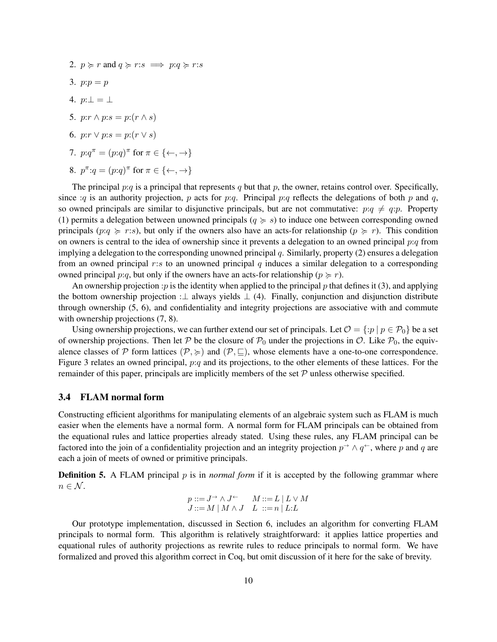<span id="page-9-3"></span><span id="page-9-2"></span><span id="page-9-1"></span><span id="page-9-0"></span>2.  $p \succcurlyeq r$  and  $q \succcurlyeq r$ : $s \implies p:q \succcurlyeq r$ : $s$ 3.  $p:p=p$ 4.  $p: \perp = \perp$ 5.  $p:r \wedge p:s = p:(r \wedge s)$ 6.  $p:r \vee p:s = p:(r \vee s)$ 7.  $p:q^{\pi} = (p:q)^{\pi}$  for  $\pi \in \{\leftarrow, \rightarrow\}$ 8.  $p^{\pi}:q=(p:q)^{\pi}$  for  $\pi \in \{\leftarrow, \rightarrow\}$ 

<span id="page-9-6"></span><span id="page-9-5"></span><span id="page-9-4"></span>The principal  $p:q$  is a principal that represents q but that p, the owner, retains control over. Specifically, since :q is an authority projection, p acts for p:q. Principal p:q reflects the delegations of both p and q, so owned principals are similar to disjunctive principals, but are not commutative:  $p:q \neq q:p$ . Property [\(1\)](#page-8-3) permits a delegation between unowned principals ( $q \geq s$ ) to induce one between corresponding owned principals  $(p:q \ge r: s)$ , but only if the owners also have an acts-for relationship  $(p \ge r)$ . This condition on owners is central to the idea of ownership since it prevents a delegation to an owned principal  $p:q$  from implying a delegation to the corresponding unowned principal q. Similarly, property  $(2)$  ensures a delegation from an owned principal  $r:s$  to an unowned principal q induces a similar delegation to a corresponding owned principal p:q, but only if the owners have an acts-for relationship ( $p \ge r$ ).

An ownership projection :*p* is the identity when applied to the principal p that defines it [\(3\)](#page-9-1), and applying the bottom ownership projection : $\perp$  always yields  $\perp$  [\(4\)](#page-9-2). Finally, conjunction and disjunction distribute through ownership [\(5,](#page-9-3) [6\)](#page-9-4), and confidentiality and integrity projections are associative with and commute with ownership projections  $(7, 8)$  $(7, 8)$  $(7, 8)$ .

Using ownership projections, we can further extend our set of principals. Let  $\mathcal{O} = \{ :p \mid p \in \mathcal{P}_0 \}$  be a set of ownership projections. Then let  $P$  be the closure of  $P_0$  under the projections in  $O$ . Like  $P_0$ , the equivalence classes of P form lattices  $(\mathcal{P}, \geq)$  and  $(\mathcal{P}, \subseteq)$ , whose elements have a one-to-one correspondence. Figure [3](#page-7-0) relates an owned principal, p:q and its projections, to the other elements of these lattices. For the remainder of this paper, principals are implicitly members of the set  $P$  unless otherwise specified.

#### 3.4 FLAM normal form

Constructing efficient algorithms for manipulating elements of an algebraic system such as FLAM is much easier when the elements have a normal form. A normal form for FLAM principals can be obtained from the equational rules and lattice properties already stated. Using these rules, any FLAM principal can be factored into the join of a confidentiality projection and an integrity projection  $p \to \wedge q \to$ , where p and q are each a join of meets of owned or primitive principals.

**Definition 5.** A FLAM principal p is in *normal form* if it is accepted by the following grammar where  $n \in \mathcal{N}$ .

$$
\begin{array}{l} p::=J^{\rightarrow}\wedge J^{\leftarrow} \qquad M::=L\mid L\vee M \\ J::=M\mid M\wedge J \quad L\ ::= n\mid L:L \end{array}
$$

Our prototype implementation, discussed in Section [6,](#page-17-0) includes an algorithm for converting FLAM principals to normal form. This algorithm is relatively straightforward: it applies lattice properties and equational rules of authority projections as rewrite rules to reduce principals to normal form. We have formalized and proved this algorithm correct in Coq, but omit discussion of it here for the sake of brevity.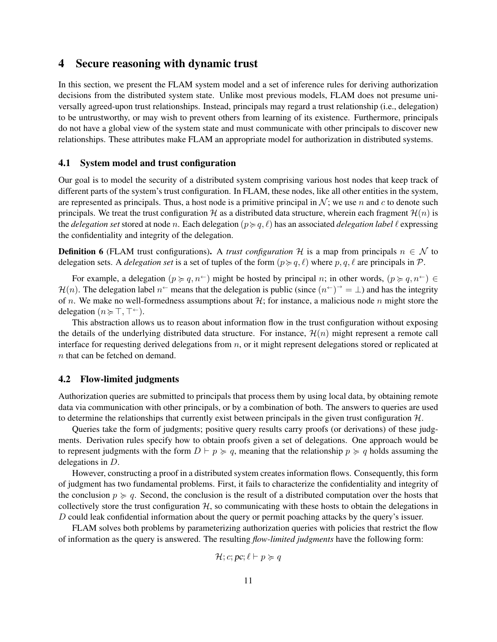### <span id="page-10-0"></span>4 Secure reasoning with dynamic trust

In this section, we present the FLAM system model and a set of inference rules for deriving authorization decisions from the distributed system state. Unlike most previous models, FLAM does not presume universally agreed-upon trust relationships. Instead, principals may regard a trust relationship (i.e., delegation) to be untrustworthy, or may wish to prevent others from learning of its existence. Furthermore, principals do not have a global view of the system state and must communicate with other principals to discover new relationships. These attributes make FLAM an appropriate model for authorization in distributed systems.

### 4.1 System model and trust configuration

Our goal is to model the security of a distributed system comprising various host nodes that keep track of different parts of the system's trust configuration. In FLAM, these nodes, like all other entities in the system, are represented as principals. Thus, a host node is a primitive principal in  $\mathcal{N}$ ; we use n and c to denote such principals. We treat the trust configuration H as a distributed data structure, wherein each fragment  $\mathcal{H}(n)$  is the *delegation set* stored at node n. Each delegation  $(p \geq q, \ell)$  has an associated *delegation label*  $\ell$  expressing the confidentiality and integrity of the delegation.

**Definition 6** (FLAM trust configurations). A *trust configuration*  $\mathcal{H}$  is a map from principals  $n \in \mathcal{N}$  to delegation sets. A *delegation set* is a set of tuples of the form  $(p \geq q, \ell)$  where p, q,  $\ell$  are principals in P.

For example, a delegation  $(p \succcurlyeq q, n^{\leftarrow})$  might be hosted by principal n; in other words,  $(p \succcurlyeq q, n^{\leftarrow}) \in$  $\mathcal{H}(n)$ . The delegation label  $n^{\leftarrow}$  means that the delegation is public (since  $(n^{\leftarrow})^{\rightarrow} = \perp$ ) and has the integrity of n. We make no well-formedness assumptions about  $\mathcal{H}$ ; for instance, a malicious node n might store the delegation  $(n \geq \top, \top^{\leftarrow})$ .

This abstraction allows us to reason about information flow in the trust configuration without exposing the details of the underlying distributed data structure. For instance,  $\mathcal{H}(n)$  might represent a remote call interface for requesting derived delegations from  $n$ , or it might represent delegations stored or replicated at n that can be fetched on demand.

### 4.2 Flow-limited judgments

Authorization queries are submitted to principals that process them by using local data, by obtaining remote data via communication with other principals, or by a combination of both. The answers to queries are used to determine the relationships that currently exist between principals in the given trust configuration  $H$ .

Queries take the form of judgments; positive query results carry proofs (or derivations) of these judgments. Derivation rules specify how to obtain proofs given a set of delegations. One approach would be to represent judgments with the form  $D \vdash p \succcurlyeq q$ , meaning that the relationship  $p \succcurlyeq q$  holds assuming the delegations in D.

However, constructing a proof in a distributed system creates information flows. Consequently, this form of judgment has two fundamental problems. First, it fails to characterize the confidentiality and integrity of the conclusion  $p \succcurlyeq q$ . Second, the conclusion is the result of a distributed computation over the hosts that collectively store the trust configuration  $H$ , so communicating with these hosts to obtain the delegations in D could leak confidential information about the query or permit poaching attacks by the query's issuer.

FLAM solves both problems by parameterizing authorization queries with policies that restrict the flow of information as the query is answered. The resulting *flow-limited judgments* have the following form:

$$
\mathcal{H}; c; pc; \ell \vdash p \succcurlyeq q
$$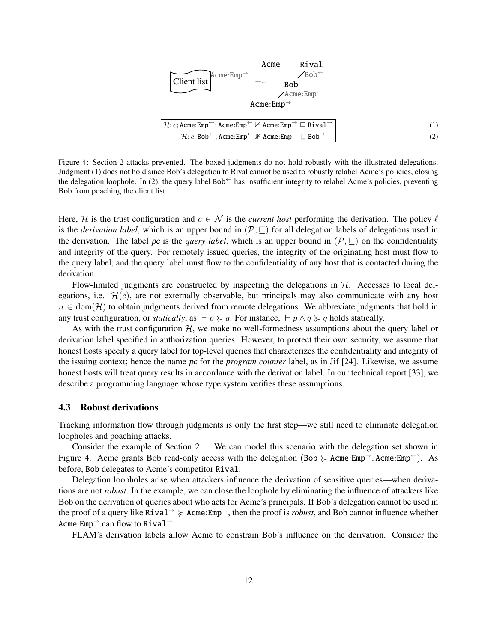<span id="page-11-2"></span><span id="page-11-1"></span><span id="page-11-0"></span>

Figure 4: Section [2](#page-2-0) attacks prevented. The boxed judgments do not hold robustly with the illustrated delegations. Judgment [\(1\)](#page-11-0) does not hold since Bob's delegation to Rival cannot be used to robustly relabel Acme's policies, closing the delegation loophole. In [\(2\)](#page-11-1), the query label  $Bob<sup>+</sup>$  has insufficient integrity to relabel Acme's policies, preventing Bob from poaching the client list.

Here, H is the trust configuration and  $c \in \mathcal{N}$  is the *current host* performing the derivation. The policy  $\ell$ is the *derivation label*, which is an upper bound in  $(\mathcal{P}, \subseteq)$  for all delegation labels of delegations used in the derivation. The label pc is the *query label*, which is an upper bound in  $(\mathcal{P}, \sqsubseteq)$  on the confidentiality and integrity of the query. For remotely issued queries, the integrity of the originating host must flow to the query label, and the query label must flow to the confidentiality of any host that is contacted during the derivation.

Flow-limited judgments are constructed by inspecting the delegations in  $H$ . Accesses to local delegations, i.e.  $\mathcal{H}(c)$ , are not externally observable, but principals may also communicate with any host  $n \in \text{dom}(\mathcal{H})$  to obtain judgments derived from remote delegations. We abbreviate judgments that hold in any trust configuration, or *statically*, as  $\vdash p \succcurlyeq q$ . For instance,  $\vdash p \land q \succcurlyeq q$  holds statically.

As with the trust configuration  $H$ , we make no well-formedness assumptions about the query label or derivation label specified in authorization queries. However, to protect their own security, we assume that honest hosts specify a query label for top-level queries that characterizes the confidentiality and integrity of the issuing context; hence the name pc for the *program counter* label, as in Jif [\[24\]](#page-30-1). Likewise, we assume honest hosts will treat query results in accordance with the derivation label. In our technical report [\[33\]](#page-30-10), we describe a programming language whose type system verifies these assumptions.

#### 4.3 Robust derivations

Tracking information flow through judgments is only the first step—we still need to eliminate delegation loopholes and poaching attacks.

Consider the example of Section [2.1.](#page-2-3) We can model this scenario with the delegation set shown in Figure [4.](#page-11-2) Acme grants Bob read-only access with the delegation (Bob  $\succeq$  Acme:Emp<sup> $\rightarrow$ </sup>, Acme:Emp<sup> $\leftarrow$ </sup>). As before, Bob delegates to Acme's competitor Rival.

Delegation loopholes arise when attackers influence the derivation of sensitive queries—when derivations are not *robust*. In the example, we can close the loophole by eliminating the influence of attackers like Bob on the derivation of queries about who acts for Acme's principals. If Bob's delegation cannot be used in the proof of a query like  $\text{Rival}^{\rightarrow} \geq \text{Acme:Emp}^{\rightarrow}$ , then the proof is *robust*, and Bob cannot influence whether Acme: $Emp \rightarrow can flow to Rival \rightarrow$ .

FLAM's derivation labels allow Acme to constrain Bob's influence on the derivation. Consider the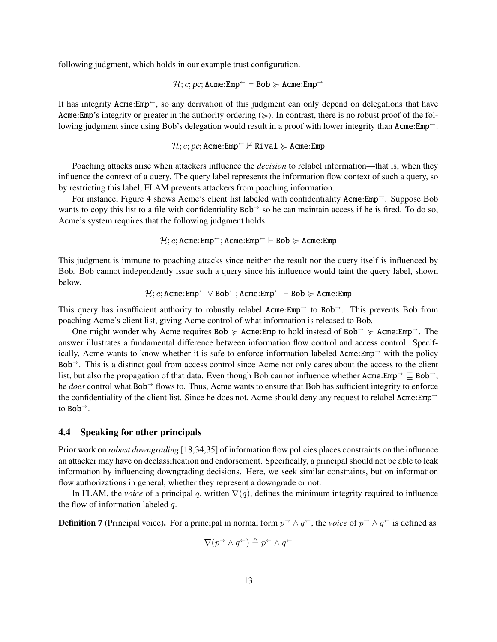following judgment, which holds in our example trust configuration.

$$
\mathcal{H}; c; pc; \texttt{Acme:Emp}^{\leftarrow} \vdash \texttt{Bob} \succcurlyeq \texttt{Acme:Emp}^{\rightarrow}
$$

It has integrity Acme:Emp<sup>←</sup>, so any derivation of this judgment can only depend on delegations that have Acme: Emp's integrity or greater in the authority ordering  $(\ge)$ . In contrast, there is no robust proof of the following judgment since using Bob's delegation would result in a proof with lower integrity than Acme:Emp<sup>←</sup>.

$$
\mathcal{H}; c; pc; \texttt{Acme:Emp} \stackrel{\leftarrow}{\sim} \texttt{Rival} \succcurlyeq \texttt{Acme:Emp}
$$

Poaching attacks arise when attackers influence the *decision* to relabel information—that is, when they influence the context of a query. The query label represents the information flow context of such a query, so by restricting this label, FLAM prevents attackers from poaching information.

For instance, Figure [4](#page-11-2) shows Acme's client list labeled with confidentiality Acme:Emp<sup>→</sup>. Suppose Bob wants to copy this list to a file with confidentiality  $Bob^{\rightarrow}$  so he can maintain access if he is fired. To do so, Acme's system requires that the following judgment holds.

### $\mathcal{H}$ ; c; Acme:Emp<sup>←</sup>; Acme:Emp<sup>←</sup>  $\vdash$  Bob  $\succcurlyeq$  Acme:Emp

This judgment is immune to poaching attacks since neither the result nor the query itself is influenced by Bob. Bob cannot independently issue such a query since his influence would taint the query label, shown below.

$$
\mathcal{H}; c; \texttt{Acme:Emp} \vdash \lor \texttt{Bob} \vdash; \texttt{Acme:Emp} \vdash \texttt{Bob} \succcurlyeq \texttt{Acme:Emp}
$$

This query has insufficient authority to robustly relabel Acme: $Emp$  to Bob<sup>→</sup>. This prevents Bob from poaching Acme's client list, giving Acme control of what information is released to Bob.

One might wonder why Acme requires Bob  $\succeq$  Acme:Emp to hold instead of Bob<sup> $\rightarrow \succeq$ </sup> Acme:Emp<sup> $\rightarrow$ </sup>. The answer illustrates a fundamental difference between information flow control and access control. Specifically, Acme wants to know whether it is safe to enforce information labeled  $Acme:Emp \rightarrow with the policy$ Bob<sup>→</sup>. This is a distinct goal from access control since Acme not only cares about the access to the client list, but also the propagation of that data. Even though Bob cannot influence whether Acme:Emp<sup>→</sup>  $\Box$  Bob<sup>→</sup>, he *does* control what Bob<sup>→</sup> flows to. Thus, Acme wants to ensure that Bob has sufficient integrity to enforce the confidentiality of the client list. Since he does not, Acme should deny any request to relabel Acme: Emp→ to Bob<sup>→</sup>.

### <span id="page-12-0"></span>4.4 Speaking for other principals

Prior work on *robust downgrading* [\[18](#page-29-8)[,34](#page-30-11)[,35\]](#page-30-12) of information flow policies places constraints on the influence an attacker may have on declassification and endorsement. Specifically, a principal should not be able to leak information by influencing downgrading decisions. Here, we seek similar constraints, but on information flow authorizations in general, whether they represent a downgrade or not.

In FLAM, the *voice* of a principal q, written  $\nabla(q)$ , defines the minimum integrity required to influence the flow of information labeled  $q$ .

**Definition 7** (Principal voice). For a principal in normal form  $p \to \land q \leftarrow$ , the *voice* of  $p \to \land q \leftarrow$  is defined as

$$
\nabla(p^{\rightarrow} \wedge q^{\leftarrow}) \stackrel{\Delta}{=} p^{\leftarrow} \wedge q^{\leftarrow}
$$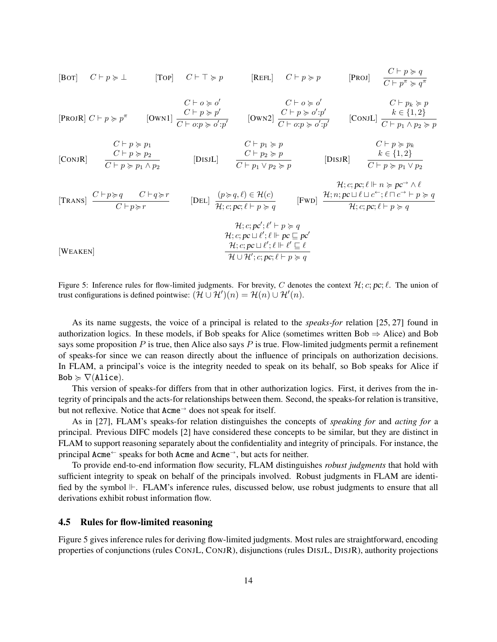<span id="page-13-0"></span>[Bor] 
$$
C \vdash p \geq \perp
$$
 [Top]  $C \vdash T \geq p$  [REFL]  $C \vdash p \geq p$  [PROJ]  $\frac{C \vdash p \geq q}{C \vdash p^{\pi} \geq q^{\pi}}$   
\n[PROIR]  $C \vdash p \geq p^{\pi}$  [OWN1]  $\frac{C \vdash p \geq p'}{C \vdash \text{op} \geq \text{op}' \text{op}'}$  [OWN2]  $\frac{C \vdash p \geq \text{op}' \text{op}'}{C \vdash \text{op} \geq \text{op}' \text{op}'}$  [CONJL]  $\frac{k \in \{1,2\}}{C \vdash p_1 \land p_2 \geq p}$   
\n[CONIR]  $\frac{C \vdash p \geq p_1}{C \vdash p \geq p_1 \land p_2}$  [DISIL]  $\frac{C \vdash p_1 \geq p_2}{C \vdash p_1 \lor p_2 \geq p}$  [DISIR]  $\frac{k \in \{1,2\}}{C \vdash p \geq p_1 \lor p_2}$   
\n[Trans]  $\frac{C \vdash p \geq p_2}{C \vdash p \geq p_1 \land p_2}$  [DEL]  $\frac{(p \geq q, \ell) \in \mathcal{H}(c)}{\mathcal{H}; c; pc; \ell \vdash p \geq q}$  [H:α;pc; l \vdash n \geq pc^+ \land l  
\n[Trans]  $\frac{C \vdash p \geq q \quad C \vdash q \geq r}{C \vdash p \geq r}$  [DEL]  $\frac{(p \geq q, \ell) \in \mathcal{H}(c)}{\mathcal{H}; c; pc; \ell \vdash p \geq q}$  [FWD]  $\frac{\mathcal{H}; n; pc \sqcup \ell \sqcup c^+; \ell \sqcap c^+ \vdash p \geq q}{\mathcal{H}; c; pc; \ell \vdash p \geq q}$   
\n[WEAKEN]  $\frac{\mathcal{H}; c; pc \sqcup \ell'; \ell \Vdash \ell \subseteq \ell}{\mathcal{H} \cup \mathcal{H}'; c; pc \sqcup \ell'; \ell \Vdash \ell \subseteq \ell}$ 

Figure 5: Inference rules for flow-limited judgments. For brevity, C denotes the context  $\mathcal{H}$ ; c; pc;  $\ell$ . The union of trust configurations is defined pointwise:  $(\mathcal{H} \cup \mathcal{H}')(n) = \mathcal{H}(n) \cup \mathcal{H}'(n)$ .

As its name suggests, the voice of a principal is related to the *speaks-for* relation [\[25,](#page-30-2) [27\]](#page-30-3) found in authorization logics. In these models, if Bob speaks for Alice (sometimes written Bob  $\Rightarrow$  Alice) and Bob says some proposition  $P$  is true, then Alice also says  $P$  is true. Flow-limited judgments permit a refinement of speaks-for since we can reason directly about the influence of principals on authorization decisions. In FLAM, a principal's voice is the integrity needed to speak on its behalf, so Bob speaks for Alice if  $Bob \succcurlyeq \nabla(Alice).$ 

This version of speaks-for differs from that in other authorization logics. First, it derives from the integrity of principals and the acts-for relationships between them. Second, the speaks-for relation is transitive, but not reflexive. Notice that Acme<sup>→</sup> does not speak for itself.

As in [\[27\]](#page-30-3), FLAM's speaks-for relation distinguishes the concepts of *speaking for* and *acting for* a principal. Previous DIFC models [\[2\]](#page-28-1) have considered these concepts to be similar, but they are distinct in FLAM to support reasoning separately about the confidentiality and integrity of principals. For instance, the principal Acme<sup>←</sup> speaks for both Acme and Acme<sup>→</sup>, but acts for neither.

To provide end-to-end information flow security, FLAM distinguishes *robust judgments* that hold with sufficient integrity to speak on behalf of the principals involved. Robust judgments in FLAM are identified by the symbol  $\mathbb{F}$ . FLAM's inference rules, discussed below, use robust judgments to ensure that all derivations exhibit robust information flow.

#### 4.5 Rules for flow-limited reasoning

Figure [5](#page-13-0) gives inference rules for deriving flow-limited judgments. Most rules are straightforward, encoding properties of conjunctions (rules C[ONJ](#page-13-0)L, C[ONJ](#page-13-0)R), disjunctions (rules D[ISJ](#page-13-0)L, D[ISJ](#page-13-0)R), authority projections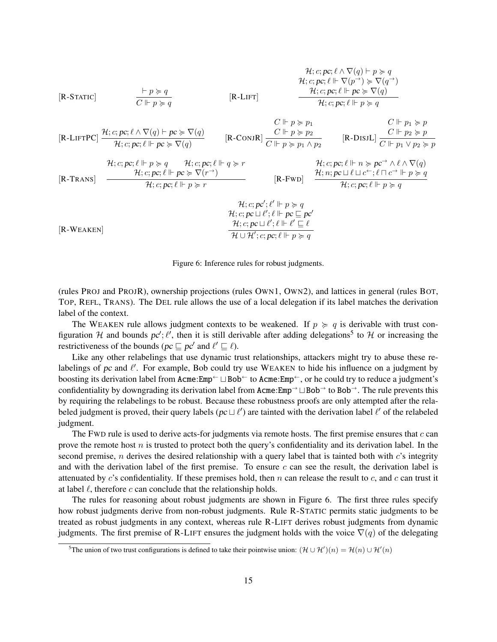<span id="page-14-0"></span>
$$
[R-STATETC] \n\begin{array}{c}\n\downarrow p \geq q \\
\hline\nC \Vdash p \geq q \\
\hline\n\mathcal{H}; c; pc; \ell \Vdash \nabla(p^{\rightarrow}) \geq \nabla(q^{\rightarrow}) \\
\hline\n\mathcal{H}; c; pc; \ell \Vdash p \geq q\n\end{array}
$$
\n
$$
[R-LIFT] \n\begin{array}{c}\n\downarrow p; c; pc; \ell \Vdash p \geq q \\
\hline\n\mathcal{H}; c; pc; \ell \Vdash p \geq q\n\end{array}
$$
\n
$$
[R-LIFT] \n\begin{array}{c}\n\mathcal{H}; c; pc; \ell \Vdash p \geq q \\
\hline\n\mathcal{H}; c; pc; \ell \Vdash p \geq q\n\end{array}
$$
\n
$$
[R-CLFTPC] \n\begin{array}{c}\n\mathcal{H}; c; pc; \ell \Vdash p \geq q \\
\hline\n\mathcal{H}; c; pc; \ell \Vdash p \geq \nabla(q)\n\end{array}
$$
\n
$$
[R-CONJR] \n\begin{array}{c}\n\mathcal{C} \Vdash p \geq p_2 \\
\hline\n\mathcal{C} \Vdash p \geq p_2\n\end{array}
$$
\n
$$
[R-DISIL] \n\begin{array}{c}\n\mathcal{C} \Vdash p_2 \geq p \\
\hline\n\mathcal{C} \Vdash p_1 \vee p_2 \geq p \\
\hline\n\mathcal{H}; c; pc; \ell \Vdash p \geq q\n\end{array}
$$
\n
$$
[R-TRANS] \n\begin{array}{c}\n\mathcal{H}; c; pc; \ell \Vdash p \geq q \\
\hline\n\mathcal{H}; c; pc; \ell \Vdash p \geq r\n\end{array}
$$
\n
$$
[R-FWD] \n\begin{array}{c}\n\mathcal{H}; n; pc \sqcup \ell \sqcup \ell \sqcup c^+; \ell \sqcap c^{-1} \Vdash p \geq q \\
\hline\n\mathcal{H}; c; pc; \ell \Vdash p \geq q\n\end{array}
$$
\n
$$
[R-WEAKEN] \n\begin{array}{c}\n\mathcal{H}; c; pc; \ell \Vdash p \geq q \\
\hline\n\mathcal{H}; c; pc; \ell \Vdash p \geq q\n\end{array}
$$

Figure 6: Inference rules for robust judgments.

(rules P[ROJ](#page-13-0) and P[ROJ](#page-13-0)R), ownership projections (rules O[WN](#page-13-0)1, O[WN](#page-13-0)2), and lattices in general (rules B[OT](#page-13-0), T[OP](#page-13-0), R[EFL](#page-13-0), T[RANS](#page-13-0)). The D[EL](#page-13-0) rule allows the use of a local delegation if its label matches the derivation label of the context.

The W[EAKEN](#page-13-0) rule allows judgment contexts to be weakened. If  $p \geq q$  is derivable with trust configuration H and bounds  $pc'$ ;  $\ell'$ , then it is still derivable after adding delegations<sup>[5](#page-14-1)</sup> to H or increasing the restrictiveness of the bounds ( $pc \sqsubseteq pc'$  and  $\ell' \sqsubseteq \ell$ ).

Like any other relabelings that use dynamic trust relationships, attackers might try to abuse these relabelings of pc and  $\ell'$ . For example, Bob could try use W[EAKEN](#page-13-0) to hide his influence on a judgment by boosting its derivation label from  $A\text{cme:Emp} \leftarrow \Box Bob \leftarrow$  to  $A\text{cme:Emp} \leftarrow$ , or he could try to reduce a judgment's confidentiality by downgrading its derivation label from Acme: $Emp^{\rightarrow} \Box Bob^{\rightarrow}$  to Bob<sup> $\rightarrow$ </sup>. The rule prevents this by requiring the relabelings to be robust. Because these robustness proofs are only attempted after the relabeled judgment is proved, their query labels ( $pc \sqcup \ell'$ ) are tainted with the derivation label  $\ell'$  of the relabeled judgment.

The F[WD](#page-13-0) rule is used to derive acts-for judgments via remote hosts. The first premise ensures that  $c$  can prove the remote host  $n$  is trusted to protect both the query's confidentiality and its derivation label. In the second premise,  $n$  derives the desired relationship with a query label that is tainted both with  $c$ 's integrity and with the derivation label of the first premise. To ensure  $c$  can see the result, the derivation label is attenuated by c's confidentiality. If these premises hold, then n can release the result to c, and c can trust it at label  $\ell$ , therefore  $c$  can conclude that the relationship holds.

The rules for reasoning about robust judgments are shown in Figure [6.](#page-14-0) The first three rules specify how robust judgments derive from non-robust judgments. Rule R-S[TATIC](#page-14-0) permits static judgments to be treated as robust judgments in any context, whereas rule [R-L](#page-14-0)IFT derives robust judgments from dynamic judgments. The first premise of [R-L](#page-14-0)IFT ensures the judgment holds with the voice  $\nabla(q)$  of the delegating

<span id="page-14-1"></span><sup>&</sup>lt;sup>5</sup>The union of two trust configurations is defined to take their pointwise union:  $(\mathcal{H} \cup \mathcal{H}')(n) = \mathcal{H}(n) \cup \mathcal{H}'(n)$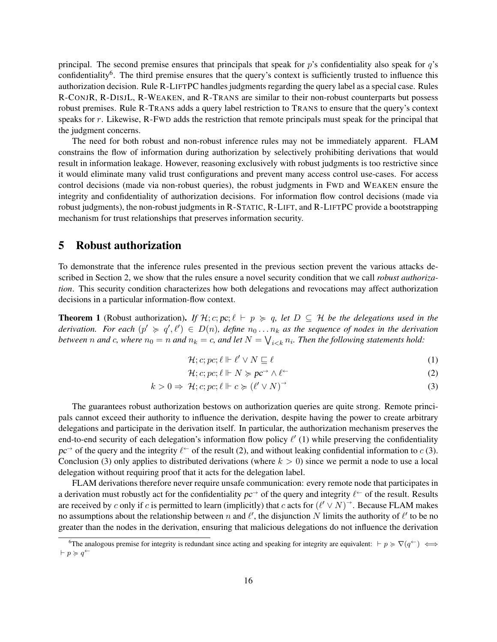principal. The second premise ensures that principals that speak for  $p$ 's confidentiality also speak for  $q$ 's confidentiality<sup>[6](#page-15-1)</sup>. The third premise ensures that the query's context is sufficiently trusted to influence this authorization decision. Rule [R-L](#page-14-0)IFTPC handles judgments regarding the query label as a special case. Rules [R-C](#page-14-0)ONJR, [R-D](#page-14-0)ISJL, R-W[EAKEN](#page-14-0), and R-T[RANS](#page-14-0) are similar to their non-robust counterparts but possess robust premises. Rule R-T[RANS](#page-14-0) adds a query label restriction to T[RANS](#page-13-0) to ensure that the query's context speaks for r. Likewise, [R-F](#page-14-0)WD adds the restriction that remote principals must speak for the principal that the judgment concerns.

The need for both robust and non-robust inference rules may not be immediately apparent. FLAM constrains the flow of information during authorization by selectively prohibiting derivations that would result in information leakage. However, reasoning exclusively with robust judgments is too restrictive since it would eliminate many valid trust configurations and prevent many access control use-cases. For access control decisions (made via non-robust queries), the robust judgments in F[WD](#page-13-0) and W[EAKEN](#page-13-0) ensure the integrity and confidentiality of authorization decisions. For information flow control decisions (made via robust judgments), the non-robust judgments in R-S[TATIC](#page-14-0), [R-L](#page-14-0)IFT, and [R-L](#page-14-0)IFTPC provide a bootstrapping mechanism for trust relationships that preserves information security.

### <span id="page-15-0"></span>5 Robust authorization

To demonstrate that the inference rules presented in the previous section prevent the various attacks described in Section [2,](#page-2-0) we show that the rules ensure a novel security condition that we call *robust authorization*. This security condition characterizes how both delegations and revocations may affect authorization decisions in a particular information-flow context.

<span id="page-15-5"></span>**Theorem 1** (Robust authorization). *If*  $H$ ; c; pc;  $\ell \vdash p \succcurlyeq q$ , let  $D \subseteq H$  *be the delegations used in the* derivation. For each  $(p' \geq q', \ell') \in D(n)$ , define  $n_0 \ldots n_k$  as the sequence of nodes in the derivation between  $n$  and  $c$ , where  $n_0 = n$  and  $n_k = c$ , and let  $N = \bigvee_{i < k} n_i$ . Then the following statements hold:

<span id="page-15-4"></span><span id="page-15-3"></span><span id="page-15-2"></span>
$$
\mathcal{H}; c; pc; \ell \Vdash \ell' \lor N \sqsubseteq \ell \tag{1}
$$

$$
\mathcal{H}; c; pc; \ell \Vdash N \succcurlyeq pc^{\rightarrow} \wedge \ell^{\leftarrow}
$$
 (2)

$$
k > 0 \Rightarrow \mathcal{H}; c; pc; \ell \Vdash c \succcurlyeq (\ell' \vee N)^{\rightarrow} \tag{3}
$$

The guarantees robust authorization bestows on authorization queries are quite strong. Remote principals cannot exceed their authority to influence the derivation, despite having the power to create arbitrary delegations and participate in the derivation itself. In particular, the authorization mechanism preserves the end-to-end security of each delegation's information flow policy  $\ell'$  [\(1\)](#page-15-2) while preserving the confidentiality  $pc$  of the query and the integrity  $l^{\leftarrow}$  of the result [\(2\)](#page-15-3), and without leaking confidential information to c [\(3\)](#page-15-4). Conclusion [\(3\)](#page-15-4) only applies to distributed derivations (where  $k > 0$ ) since we permit a node to use a local delegation without requiring proof that it acts for the delegation label.

FLAM derivations therefore never require unsafe communication: every remote node that participates in a derivation must robustly act for the confidentiality  $pc$   $\rightarrow$  of the query and integrity  $\ell$   $\leftarrow$  of the result. Results are received by c only if c is permitted to learn (implicitly) that c acts for  $(\ell' \vee N)^{\rightarrow}$ . Because FLAM makes no assumptions about the relationship between n and  $\ell'$ , the disjunction N limits the authority of  $\ell'$  to be no greater than the nodes in the derivation, ensuring that malicious delegations do not influence the derivation

<span id="page-15-1"></span><sup>&</sup>lt;sup>6</sup>The analogous premise for integrity is redundant since acting and speaking for integrity are equivalent:  $\vdash p \succcurlyeq \nabla(q^{\leftarrow}) \iff$  $\vdash p \succcurlyeq q^{\leftarrow}$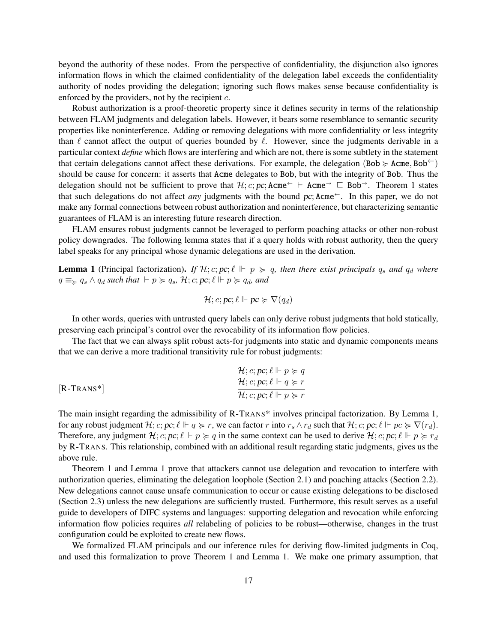beyond the authority of these nodes. From the perspective of confidentiality, the disjunction also ignores information flows in which the claimed confidentiality of the delegation label exceeds the confidentiality authority of nodes providing the delegation; ignoring such flows makes sense because confidentiality is enforced by the providers, not by the recipient  $c$ .

Robust authorization is a proof-theoretic property since it defines security in terms of the relationship between FLAM judgments and delegation labels. However, it bears some resemblance to semantic security properties like noninterference. Adding or removing delegations with more confidentiality or less integrity than  $\ell$  cannot affect the output of queries bounded by  $\ell$ . However, since the judgments derivable in a particular context *define* which flows are interfering and which are not, there is some subtlety in the statement that certain delegations cannot affect these derivations. For example, the delegation (Bob  $\succ$  Acme, Bob<sup> $\leftarrow$ </sup>) should be cause for concern: it asserts that Acme delegates to Bob, but with the integrity of Bob. Thus the delegation should not be sufficient to prove that  $\mathcal{H}$ ; c; pc; Acme<sup> $\leftarrow \vdash$ </sup> Acme $\rightarrow \sqsubseteq$  Bob $\rightarrow$ . Theorem [1](#page-15-5) states that such delegations do not affect *any* judgments with the bound pc; Acme<sup>←</sup>. In this paper, we do not make any formal connections between robust authorization and noninterference, but characterizing semantic guarantees of FLAM is an interesting future research direction.

FLAM ensures robust judgments cannot be leveraged to perform poaching attacks or other non-robust policy downgrades. The following lemma states that if a query holds with robust authority, then the query label speaks for any principal whose dynamic delegations are used in the derivation.

<span id="page-16-0"></span>**Lemma 1** (Principal factorization). If  $H$ ; c; pc;  $\ell \Vdash p \geq q$ , then there exist principals  $q_s$  and  $q_d$  where  $q \equiv_{\succcurlyeq} q_s \wedge q_d$  such that  $\vdash p \succcurlyeq q_s$ ,  $\mathcal{H}$ ; c;  $pc$ ;  $\ell \Vdash p \succcurlyeq q_d$ , and

$$
\mathcal{H}; c; pc; \ell \Vdash pc \succcurlyeq \nabla(q_d)
$$

In other words, queries with untrusted query labels can only derive robust judgments that hold statically, preserving each principal's control over the revocability of its information flow policies.

The fact that we can always split robust acts-for judgments into static and dynamic components means that we can derive a more traditional transitivity rule for robust judgments:

$$
\mathcal{H}; c; pc; \ell \Vdash p \succcurlyeq q
$$
\n
$$
\mathcal{H}; c; pc; \ell \Vdash p \succcurlyeq q
$$
\n
$$
\mathcal{H}; c; pc; \ell \Vdash q \succcurlyeq r
$$
\n
$$
\mathcal{H}; c; pc; \ell \Vdash p \succcurlyeq r
$$

The main insight regarding the admissibility of R-T[RANS](#page-16-0)\* involves principal factorization. By Lemma [1,](#page-16-0) for any robust judgment  $\mathcal{H}$ ;  $c$ ;  $p c$ ;  $\ell \Vdash q \succcurlyeq r$ , we can factor r into  $r_s \wedge r_d$  such that  $\mathcal{H}$ ;  $c$ ;  $p c$ ;  $\ell \Vdash pc \succcurlyeq \nabla(r_d)$ . Therefore, any judgment  $\mathcal{H}$ ; c;  $p \in \mathcal{H} \models p \succcurlyeq q$  in the same context can be used to derive  $\mathcal{H}$ ; c;  $p \in \mathcal{H} \models p \succcurlyeq r_d$ by R-T[RANS](#page-14-0). This relationship, combined with an additional result regarding static judgments, gives us the above rule.

Theorem [1](#page-15-5) and Lemma [1](#page-16-0) prove that attackers cannot use delegation and revocation to interfere with authorization queries, eliminating the delegation loophole (Section [2.1\)](#page-2-3) and poaching attacks (Section [2.2\)](#page-3-1). New delegations cannot cause unsafe communication to occur or cause existing delegations to be disclosed (Section [2.3\)](#page-4-0) unless the new delegations are sufficiently trusted. Furthermore, this result serves as a useful guide to developers of DIFC systems and languages: supporting delegation and revocation while enforcing information flow policies requires *all* relabeling of policies to be robust—otherwise, changes in the trust configuration could be exploited to create new flows.

We formalized FLAM principals and our inference rules for deriving flow-limited judgments in Coq, and used this formalization to prove Theorem [1](#page-15-5) and Lemma [1.](#page-16-0) We make one primary assumption, that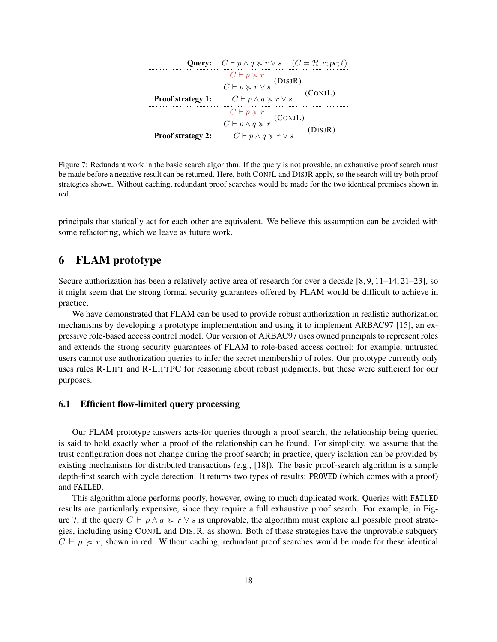<span id="page-17-1"></span>

| <b>Ouery:</b>            | $C \vdash p \land q \succcurlyeq r \lor s$ $(C = \mathcal{H}; c; pc; \ell)$   |
|--------------------------|-------------------------------------------------------------------------------|
|                          | $\frac{C \vdash p \succ r}{C \vdash p \succ r \vee s}$ (DISJR)<br>(CONJL)     |
| <b>Proof strategy 1:</b> | $C \vdash p \land q \succcurlyeq r \lor s$                                    |
|                          | $\frac{C \vdash p \succcurlyeq r}{C \vdash p \land q \succcurlyeq r}$ (CONJL) |
|                          | (DisjR)                                                                       |
| <b>Proof strategy 2:</b> | $C\vdash p\land q\succcurlyeq r\lor s$                                        |

Figure 7: Redundant work in the basic search algorithm. If the query is not provable, an exhaustive proof search must be made before a negative result can be returned. Here, both C[ONJ](#page-13-0)L and D[ISJ](#page-13-0)R apply, so the search will try both proof strategies shown. Without caching, redundant proof searches would be made for the two identical premises shown in red.

principals that statically act for each other are equivalent. We believe this assumption can be avoided with some refactoring, which we leave as future work.

### <span id="page-17-0"></span>6 FLAM prototype

Secure authorization has been a relatively active area of research for over a decade [\[8,](#page-29-1) [9,](#page-29-11) [11](#page-29-12)[–14,](#page-29-2) [21](#page-29-14)[–23\]](#page-30-0), so it might seem that the strong formal security guarantees offered by FLAM would be difficult to achieve in practice.

We have demonstrated that FLAM can be used to provide robust authorization in realistic authorization mechanisms by developing a prototype implementation and using it to implement ARBAC97 [\[15\]](#page-29-4), an expressive role-based access control model. Our version of ARBAC97 uses owned principals to represent roles and extends the strong security guarantees of FLAM to role-based access control; for example, untrusted users cannot use authorization queries to infer the secret membership of roles. Our prototype currently only uses rules [R-L](#page-14-0)IFT and [R-L](#page-14-0)IFTPC for reasoning about robust judgments, but these were sufficient for our purposes.

### 6.1 Efficient flow-limited query processing

Our FLAM prototype answers acts-for queries through a proof search; the relationship being queried is said to hold exactly when a proof of the relationship can be found. For simplicity, we assume that the trust configuration does not change during the proof search; in practice, query isolation can be provided by existing mechanisms for distributed transactions (e.g., [\[18\]](#page-29-8)). The basic proof-search algorithm is a simple depth-first search with cycle detection. It returns two types of results: PROVED (which comes with a proof) and FAILED.

This algorithm alone performs poorly, however, owing to much duplicated work. Queries with FAILED results are particularly expensive, since they require a full exhaustive proof search. For example, in Fig-ure [7,](#page-17-1) if the query  $C \vdash p \land q \succcurlyeq r \lor s$  is unprovable, the algorithm must explore all possible proof strategies, including using C[ONJ](#page-13-0)L and D[ISJ](#page-13-0)R, as shown. Both of these strategies have the unprovable subquery  $C \vdash p \succcurlyeq r$ , shown in red. Without caching, redundant proof searches would be made for these identical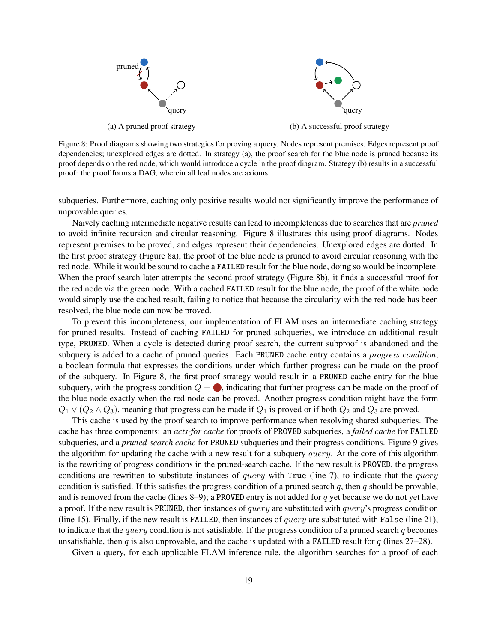<span id="page-18-0"></span>

Figure 8: Proof diagrams showing two strategies for proving a query. Nodes represent premises. Edges represent proof dependencies; unexplored edges are dotted. In strategy (a), the proof search for the blue node is pruned because its proof depends on the red node, which would introduce a cycle in the proof diagram. Strategy (b) results in a successful proof: the proof forms a DAG, wherein all leaf nodes are axioms.

subqueries. Furthermore, caching only positive results would not significantly improve the performance of unprovable queries.

Naively caching intermediate negative results can lead to incompleteness due to searches that are *pruned* to avoid infinite recursion and circular reasoning. Figure [8](#page-18-0) illustrates this using proof diagrams. Nodes represent premises to be proved, and edges represent their dependencies. Unexplored edges are dotted. In the first proof strategy (Figure [8a\)](#page-18-0), the proof of the blue node is pruned to avoid circular reasoning with the red node. While it would be sound to cache a FAILED result for the blue node, doing so would be incomplete. When the proof search later attempts the second proof strategy (Figure [8b\)](#page-18-0), it finds a successful proof for the red node via the green node. With a cached FAILED result for the blue node, the proof of the white node would simply use the cached result, failing to notice that because the circularity with the red node has been resolved, the blue node can now be proved.

To prevent this incompleteness, our implementation of FLAM uses an intermediate caching strategy for pruned results. Instead of caching FAILED for pruned subqueries, we introduce an additional result type, PRUNED. When a cycle is detected during proof search, the current subproof is abandoned and the subquery is added to a cache of pruned queries. Each PRUNED cache entry contains a *progress condition*, a boolean formula that expresses the conditions under which further progress can be made on the proof of the subquery. In Figure [8,](#page-18-0) the first proof strategy would result in a PRUNED cache entry for the blue subquery, with the progress condition  $Q = \bullet$ , indicating that further progress can be made on the proof of the blue node exactly when the red node can be proved. Another progress condition might have the form  $Q_1 \vee (Q_2 \wedge Q_3)$ , meaning that progress can be made if  $Q_1$  is proved or if both  $Q_2$  and  $Q_3$  are proved.

This cache is used by the proof search to improve performance when resolving shared subqueries. The cache has three components: an *acts-for cache* for proofs of PROVED subqueries, a *failed cache* for FAILED subqueries, and a *pruned-search cache* for PRUNED subqueries and their progress conditions. Figure [9](#page-19-0) gives the algorithm for updating the cache with a new result for a subquery *query*. At the core of this algorithm is the rewriting of progress conditions in the pruned-search cache. If the new result is PROVED, the progress conditions are rewritten to substitute instances of *query* with True (line [7\)](#page-19-0), to indicate that the *query* condition is satisfied. If this satisfies the progress condition of a pruned search q, then q should be provable, and is removed from the cache (lines [8–9\)](#page-19-0); a PROVED entry is not added for q yet because we do not yet have a proof. If the new result is PRUNED, then instances of query are substituted with query's progress condition (line [15\)](#page-19-0). Finally, if the new result is FAILED, then instances of *query* are substituted with False (line [21\)](#page-19-0), to indicate that the *query* condition is not satisfiable. If the progress condition of a pruned search  $q$  becomes unsatisfiable, then q is also unprovable, and the cache is updated with a FAILED result for q (lines  $27-28$ ).

Given a query, for each applicable FLAM inference rule, the algorithm searches for a proof of each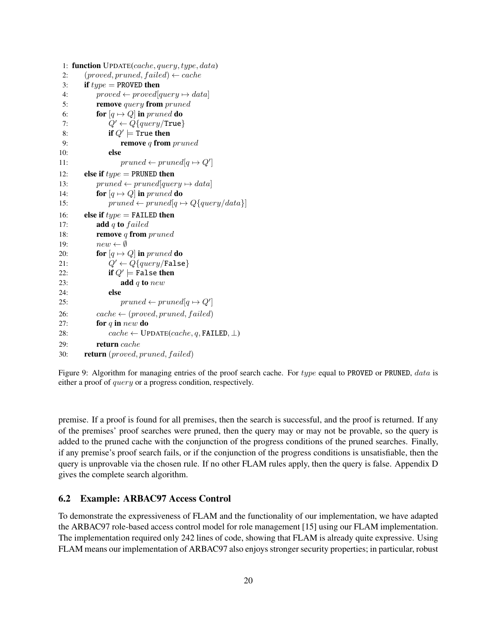```
1: function UPDATE(cache, query, type, data)2: (pred, pruned, failed) \leftarrow cache3: if type = PROVED then
4: proved \leftarrow proved[query \rightarrow data]5: remove query from pruned
6: for [q \mapsto Q] in pruned do
 7: Q' \leftarrow Q\{query / \text{True}\}8: if Q' \models True then
9: remove q from pruned
10: else
11: pruned \leftarrow pruned[q \mapsto Q']12: else if type = PRUNED then
13: pruned \leftarrow pruned[query \mapsto data]
14: for [q \mapsto Q] in pruned do
15: pruned \leftarrow pruned[q \mapsto Q\{query / data\}]16: else if type = \text{FAILED} then
17: add q to failed
18: remove q from pruned19: new \leftarrow \emptyset20: for [q \mapsto Q] in pruned do
21: Q' \leftarrow Q\{query/\text{False}\}22: if Q' \models False then
23: add q to new
24: else
25: pruned \leftarrow pruned[q \mapsto Q']26: cache \leftarrow (proved, pruned, failed)27: for q in new do
28: cache \leftarrow \text{UPDATE}(cache, q, \text{FAILED}, \perp)29: return cache
30: return (proved, pruned, failed)
```
Figure 9: Algorithm for managing entries of the proof search cache. For type equal to PROVED or PRUNED, data is either a proof of query or a progress condition, respectively.

premise. If a proof is found for all premises, then the search is successful, and the proof is returned. If any of the premises' proof searches were pruned, then the query may or may not be provable, so the query is added to the pruned cache with the conjunction of the progress conditions of the pruned searches. Finally, if any premise's proof search fails, or if the conjunction of the progress conditions is unsatisfiable, then the query is unprovable via the chosen rule. If no other FLAM rules apply, then the query is false. Appendix [D](#page-36-0) gives the complete search algorithm.

### 6.2 Example: ARBAC97 Access Control

To demonstrate the expressiveness of FLAM and the functionality of our implementation, we have adapted the ARBAC97 role-based access control model for role management [\[15\]](#page-29-4) using our FLAM implementation. The implementation required only 242 lines of code, showing that FLAM is already quite expressive. Using FLAM means our implementation of ARBAC97 also enjoys stronger security properties; in particular, robust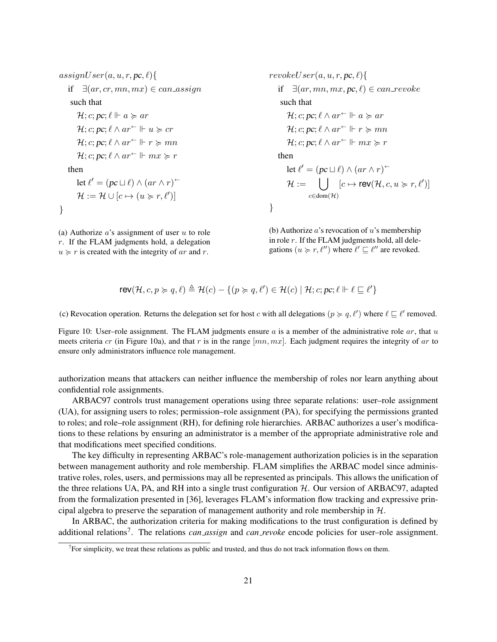```
assignUser(a, u, r, pc, \ell){
     if \exists (ar, cr, mn, mx) \in can\_assignsuch that
          \mathcal{H}; c; pc; \ell \Vdash a \succcurlyeq ar\mathcal{H}; c; pc; \ell \wedge ar^{\leftarrow} \Vdash u \succcurlyeq cr\mathcal{H}; c; pc; \ell \wedge ar^{\leftarrow} \Vdash r \succcurlyeq mn\mathcal{H}; c; pc; \ell \wedge ar^{\leftarrow} \Vdash mx \geq rthen
          let \ell' = (pc \sqcup \ell) \wedge (ar \wedge r)^{\leftarrow}\mathcal{H} := \mathcal{H} \cup [c \mapsto (u \succcurlyeq r, \ell')]}
```
 $revolelSer(a, u, r, pc, \ell)$ { if  $\exists (ar, mn, mx, pc, \ell) \in can\_revole$ such that  $\mathcal{H}$ ; c; pc;  $\ell \wedge ar^{\leftarrow} \Vdash a \succcurlyeq ar$  $\mathcal{H}$ ; c; pc;  $\ell \wedge ar^{\leftarrow} \Vdash r \succcurlyeq mn$  $\mathcal{H}$ ; c; pc;  $\ell \wedge ar^{\leftarrow} \Vdash mx \succcurlyeq r$ then let  $\ell' = (pc \sqcup \ell) \wedge (ar \wedge r)^{\leftarrow}$  $\mathcal{H} := \quad \left| \quad \right| \quad [c \mapsto \mathsf{rev}(\mathcal{H}, c, u \succcurlyeq r, \ell')]$  $c \in \text{dom}(\mathcal{H})$ }

(a) Authorize  $a$ 's assignment of user  $u$  to role  $r$ . If the FLAM judgments hold, a delegation  $u \ge r$  is created with the integrity of ar and r.

(b) Authorize  $a$ 's revocation of  $u$ 's membership in role  $r$ . If the FLAM judgments hold, all delegations  $(u \succcurlyeq r, \ell'')$  where  $\ell' \sqsubseteq \ell''$  are revoked.

$$
\mathsf{rev}(\mathcal{H}, c, p \succcurlyeq q, \ell) \triangleq \mathcal{H}(c) - \{(p \succcurlyeq q, \ell') \in \mathcal{H}(c) \mid \mathcal{H}; c; pc; \ell \Vdash \ell \sqsubseteq \ell'\}
$$

(c) Revocation operation. Returns the delegation set for host c with all delegations  $(p \succcurlyeq q, \ell')$  where  $\ell \sqsubseteq \ell'$  removed.

Figure 10: User–role assignment. The FLAM judgments ensure  $\alpha$  is a member of the administrative role  $\alpha r$ , that  $u$ meets criteria cr (in Figure [10a\)](#page-20-0), and that r is in the range  $[mn, mx]$ . Each judgment requires the integrity of ar to ensure only administrators influence role management.

authorization means that attackers can neither influence the membership of roles nor learn anything about confidential role assignments.

ARBAC97 controls trust management operations using three separate relations: user–role assignment (UA), for assigning users to roles; permission–role assignment (PA), for specifying the permissions granted to roles; and role–role assignment (RH), for defining role hierarchies. ARBAC authorizes a user's modifications to these relations by ensuring an administrator is a member of the appropriate administrative role and that modifications meet specified conditions.

The key difficulty in representing ARBAC's role-management authorization policies is in the separation between management authority and role membership. FLAM simplifies the ARBAC model since administrative roles, roles, users, and permissions may all be represented as principals. This allows the unification of the three relations UA, PA, and RH into a single trust configuration  $H$ . Our version of ARBAC97, adapted from the formalization presented in [\[36\]](#page-30-13), leverages FLAM's information flow tracking and expressive principal algebra to preserve the separation of management authority and role membership in  $H$ .

In ARBAC, the authorization criteria for making modifications to the trust configuration is defined by additional relations<sup>[7](#page-20-1)</sup>. The relations *can\_assign* and *can\_revoke* encode policies for user–role assignment.

<span id="page-20-1"></span> $<sup>7</sup>$  For simplicity, we treat these relations as public and trusted, and thus do not track information flows on them.</sup>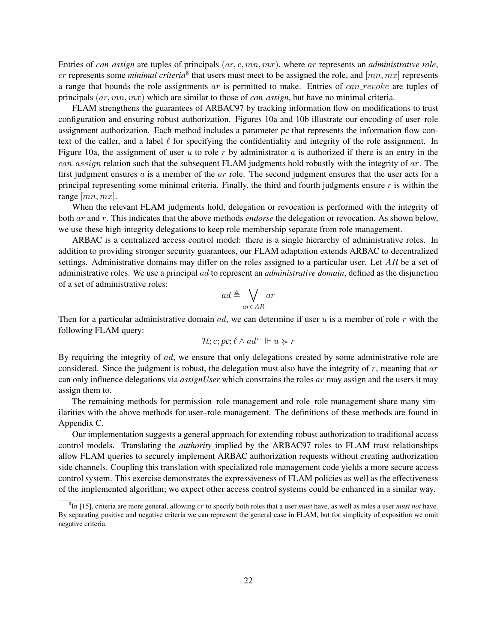Entries of *can assign* are tuples of principals (ar, c, mn, mx), where ar represents an *administrative role*,  $cr$  represents some *minimal criteria*<sup>[8](#page-21-0)</sup> that users must meet to be assigned the role, and  $[mn, mx]$  represents a range that bounds the role assignments  $ar$  is permitted to make. Entries of  $can\_revoke$  are tuples of principals (ar, mn, mx) which are similar to those of *can assign*, but have no minimal criteria.

FLAM strengthens the guarantees of ARBAC97 by tracking information flow on modifications to trust configuration and ensuring robust authorization. Figures [10a](#page-20-0) and [10b](#page-20-0) illustrate our encoding of user–role assignment authorization. Each method includes a parameter pc that represents the information flow context of the caller, and a label  $\ell$  for specifying the confidentiality and integrity of the role assignment. In Figure [10a,](#page-20-0) the assignment of user u to role r by administrator a is authorized if there is an entry in the  $can \_assign$  relation such that the subsequent FLAM judgments hold robustly with the integrity of  $ar$ . The first judgment ensures  $\alpha$  is a member of the  $\alpha r$  role. The second judgment ensures that the user acts for a principal representing some minimal criteria. Finally, the third and fourth judgments ensure  $r$  is within the range  $[mn, mx]$ .

When the relevant FLAM judgments hold, delegation or revocation is performed with the integrity of both ar and r. This indicates that the above methods *endorse* the delegation or revocation. As shown below, we use these high-integrity delegations to keep role membership separate from role management.

ARBAC is a centralized access control model: there is a single hierarchy of administrative roles. In addition to providing stronger security guarantees, our FLAM adaptation extends ARBAC to decentralized settings. Administrative domains may differ on the roles assigned to a particular user. Let  $AR$  be a set of administrative roles. We use a principal ad to represent an *administrative domain*, defined as the disjunction of a set of administrative roles:

$$
ad \triangleq \bigvee_{ar \in AR} ar
$$

Then for a particular administrative domain  $ad$ , we can determine if user  $u$  is a member of role  $r$  with the following FLAM query:

$$
\mathcal{H}; c; pc; \ell \wedge ad^{\leftarrow} \Vdash u \succcurlyeq r
$$

By requiring the integrity of ad, we ensure that only delegations created by some administrative role are considered. Since the judgment is robust, the delegation must also have the integrity of  $r$ , meaning that  $ar$ can only influence delegations via *assignUser* which constrains the roles ar may assign and the users it may assign them to.

The remaining methods for permission–role management and role–role management share many similarities with the above methods for user–role management. The definitions of these methods are found in Appendix [C.](#page-34-0)

Our implementation suggests a general approach for extending robust authorization to traditional access control models. Translating the *authority* implied by the ARBAC97 roles to FLAM trust relationships allow FLAM queries to securely implement ARBAC authorization requests without creating authorization side channels. Coupling this translation with specialized role management code yields a more secure access control system. This exercise demonstrates the expressiveness of FLAM policies as well as the effectiveness of the implemented algorithm; we expect other access control systems could be enhanced in a similar way.

<span id="page-21-0"></span><sup>8</sup> In [\[15\]](#page-29-4), criteria are more general, allowing cr to specify both roles that a user *must* have, as well as roles a user *must not* have. By separating positive and negative criteria we can represent the general case in FLAM, but for simplicity of exposition we omit negative criteria.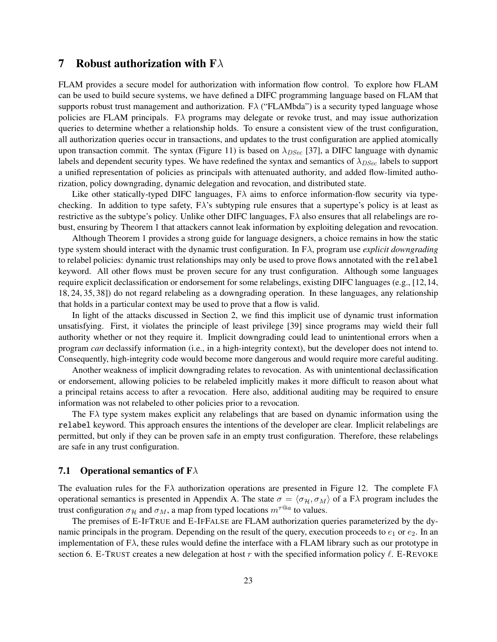### <span id="page-22-0"></span>7 Robust authorization with  $\mathbf{F}\lambda$

FLAM provides a secure model for authorization with information flow control. To explore how FLAM can be used to build secure systems, we have defined a DIFC programming language based on FLAM that supports robust trust management and authorization.  $FA$  ("FLAMbda") is a security typed language whose policies are FLAM principals. Fλ programs may delegate or revoke trust, and may issue authorization queries to determine whether a relationship holds. To ensure a consistent view of the trust configuration, all authorization queries occur in transactions, and updates to the trust configuration are applied atomically upon transaction commit. The syntax (Figure [11\)](#page-23-0) is based on  $\lambda_{DSec}$  [\[37\]](#page-30-14), a DIFC language with dynamic labels and dependent security types. We have redefined the syntax and semantics of  $\lambda_{DSec}$  labels to support a unified representation of policies as principals with attenuated authority, and added flow-limited authorization, policy downgrading, dynamic delegation and revocation, and distributed state.

Like other statically-typed DIFC languages,  $FA$  aims to enforce information-flow security via typechecking. In addition to type safety,  $F\lambda$ 's subtyping rule ensures that a supertype's policy is at least as restrictive as the subtype's policy. Unlike other DIFC languages,  $F\lambda$  also ensures that all relabelings are robust, ensuring by Theorem [1](#page-15-5) that attackers cannot leak information by exploiting delegation and revocation.

Although Theorem [1](#page-15-5) provides a strong guide for language designers, a choice remains in how the static type system should interact with the dynamic trust configuration. In Fλ, program use *explicit downgrading* to relabel policies: dynamic trust relationships may only be used to prove flows annotated with the relabel keyword. All other flows must be proven secure for any trust configuration. Although some languages require explicit declassification or endorsement for some relabelings, existing DIFC languages (e.g., [\[12,](#page-29-3)[14,](#page-29-2) [18,](#page-29-8) [24,](#page-30-1) [35,](#page-30-12) [38\]](#page-30-15)) do not regard relabeling as a downgrading operation. In these languages, any relationship that holds in a particular context may be used to prove that a flow is valid.

In light of the attacks discussed in Section [2,](#page-2-0) we find this implicit use of dynamic trust information unsatisfying. First, it violates the principle of least privilege [\[39\]](#page-31-0) since programs may wield their full authority whether or not they require it. Implicit downgrading could lead to unintentional errors when a program *can* declassify information (i.e., in a high-integrity context), but the developer does not intend to. Consequently, high-integrity code would become more dangerous and would require more careful auditing.

Another weakness of implicit downgrading relates to revocation. As with unintentional declassification or endorsement, allowing policies to be relabeled implicitly makes it more difficult to reason about what a principal retains access to after a revocation. Here also, additional auditing may be required to ensure information was not relabeled to other policies prior to a revocation.

The  $FA$  type system makes explicit any relabelings that are based on dynamic information using the relabel keyword. This approach ensures the intentions of the developer are clear. Implicit relabelings are permitted, but only if they can be proven safe in an empty trust configuration. Therefore, these relabelings are safe in any trust configuration.

#### 7.1 Operational semantics of  $F\lambda$

The evaluation rules for the F $\lambda$  authorization operations are presented in Figure [12.](#page-24-0) The complete F $\lambda$ operational semantics is presented in Appendix [A.](#page-32-0) The state  $\sigma = \langle \sigma_H, \sigma_M \rangle$  of a F $\lambda$  program includes the trust configuration  $\sigma_{\mathcal{H}}$  and  $\sigma_M$ , a map from typed locations  $m^{\tau@a}$  to values.

The premises of [E-I](#page-32-0)FTRUE and E-IFF[ALSE](#page-32-0) are FLAM authorization queries parameterized by the dynamic principals in the program. Depending on the result of the query, execution proceeds to  $e_1$  or  $e_2$ . In an implementation of  $FA$ , these rules would define the interface with a FLAM library such as our prototype in section [6.](#page-17-0) E-T[RUST](#page-32-0) creates a new delegation at host r with the specified information policy  $\ell$ . E-R[EVOKE](#page-32-0)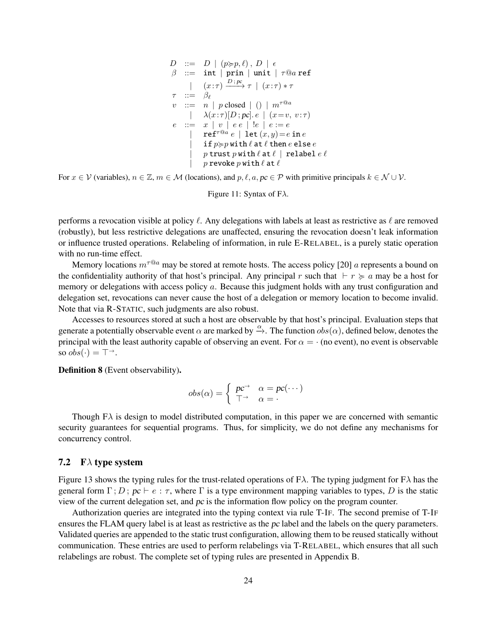<span id="page-23-0"></span>
$$
D ::= D | (p \succcurlyeq p, \ell), D | \epsilon
$$
\n
$$
\beta ::= \text{int} | \text{prin} | \text{unit} | \tau @a \text{ref}
$$
\n
$$
= (x:\tau) \xrightarrow{D:\text{pc}} \tau | (x:\tau) * \tau
$$
\n
$$
\tau ::= \beta_{\ell}
$$
\n
$$
v ::= n | p \text{ closed} | () | m^{\tau @a}
$$
\n
$$
= \lambda(x:\tau)[D; \text{pc}]. e | (x = v, v:\tau)
$$
\n
$$
e ::= x | v | e e | \text{le} | e := e
$$
\n
$$
= \text{ref}^{\tau @a} e | \text{let} (x, y) = e \text{ in } e
$$
\n
$$
= \text{if } p \succcurlyeq p \text{ with } \ell \text{ at } \ell | \text{ relabel } e \ell
$$
\n
$$
= p \text{ revoke } p \text{ with } \ell \text{ at } \ell
$$

For  $x \in V$  (variables),  $n \in \mathbb{Z}$ ,  $m \in \mathcal{M}$  (locations), and  $p, \ell, a, pc \in \mathcal{P}$  with primitive principals  $k \in \mathcal{N} \cup \mathcal{V}$ .

Figure 11: Syntax of F $\lambda$ .

performs a revocation visible at policy  $\ell$ . Any delegations with labels at least as restrictive as  $\ell$  are removed (robustly), but less restrictive delegations are unaffected, ensuring the revocation doesn't leak information or influence trusted operations. Relabeling of information, in rule E-R[ELABEL](#page-32-0), is a purely static operation with no run-time effect.

Memory locations  $m^{\tau@a}$  may be stored at remote hosts. The access policy [\[20\]](#page-29-10) a represents a bound on the confidentiality authority of that host's principal. Any principal r such that  $\vdash r \succcurlyeq a$  may be a host for memory or delegations with access policy a. Because this judgment holds with any trust configuration and delegation set, revocations can never cause the host of a delegation or memory location to become invalid. Note that via R-S[TATIC](#page-14-0), such judgments are also robust.

Accesses to resources stored at such a host are observable by that host's principal. Evaluation steps that generate a potentially observable event  $\alpha$  are marked by  $\stackrel{\alpha}{\rightarrow}$ . The function  $obs(\alpha)$ , defined below, denotes the principal with the least authority capable of observing an event. For  $\alpha = \cdot$  (no event), no event is observable so  $obs(\cdot) = \top^{\rightarrow}$ .

Definition 8 (Event observability).

$$
obs(\alpha) = \begin{cases} pc^{\rightarrow} & \alpha = pc(\cdots) \\ \top^{\rightarrow} & \alpha = \cdot \end{cases}
$$

Though  $FA$  is design to model distributed computation, in this paper we are concerned with semantic security guarantees for sequential programs. Thus, for simplicity, we do not define any mechanisms for concurrency control.

#### 7.2  $\mathbf{F}\lambda$  type system

Figure [13](#page-25-0) shows the typing rules for the trust-related operations of F $\lambda$ . The typing judgment for F $\lambda$  has the general form  $\Gamma$ ;  $D$ ;  $pc \vdash e : \tau$ , where  $\Gamma$  is a type environment mapping variables to types, D is the static view of the current delegation set, and pc is the information flow policy on the program counter.

Authorization queries are integrated into the typing context via rule [T-I](#page-33-0)F. The second premise of [T-I](#page-33-0)F ensures the FLAM query label is at least as restrictive as the pc label and the labels on the query parameters. Validated queries are appended to the static trust configuration, allowing them to be reused statically without communication. These entries are used to perform relabelings via T-R[ELABEL](#page-33-0), which ensures that all such relabelings are robust. The complete set of typing rules are presented in Appendix [B.](#page-33-0)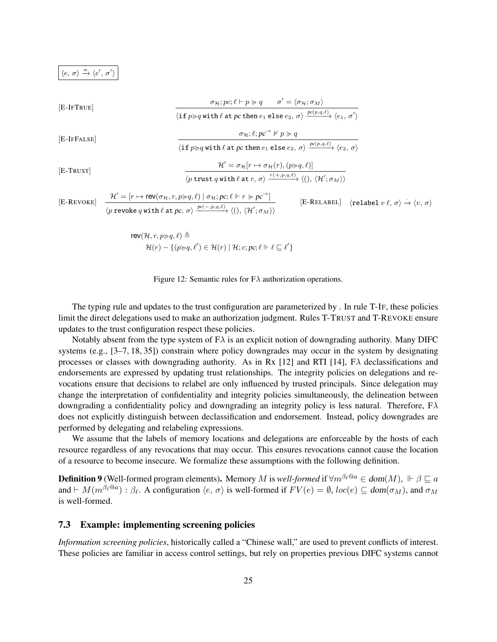<span id="page-24-0"></span> $\langle e, \sigma \rangle \xrightarrow{\alpha} \langle e', \sigma' \rangle$ 

$$
[\text{E-IFTRUE}] \qquad \frac{\sigma_{\mathcal{H}}; pc; \ell \vdash p \succcurlyeq q \quad \sigma' = \langle \sigma_{\mathcal{H}}; \sigma_{\mathcal{M}} \rangle}{\langle \text{if } p \succcurlyeq q \text{ with } \ell \text{ at } pc \text{ then } e_1 \text{ else } e_2, \sigma \rangle \xrightarrow{pc(p, q, \ell)} \langle e_1, \sigma' \rangle}
$$
\n
$$
[\text{E-IFFALSE}] \qquad \frac{\sigma_{\mathcal{H}}; \ell; pc^{\rightarrow} \nvdash p \succcurlyeq q}{\langle \text{if } p \succcurlyeq q \text{ with } \ell \text{ at } pc \text{ then } e_1 \text{ else } e_2, \sigma \rangle \xrightarrow{pc(p, q, \ell)} \langle e_2, \sigma \rangle}
$$
\n
$$
[\text{E-TRUE}] \qquad \frac{\mathcal{H}' = \sigma_{\mathcal{H}}[r \mapsto \sigma_{\mathcal{H}}(r), (p \succcurlyeq q, \ell)]}{\langle p \text{ trust } q \text{ with } \ell \text{ at } r, \sigma \rangle \xrightarrow{\tau(+, p, q, \ell)} \langle (), \langle \mathcal{H}', \sigma_{\mathcal{M}} \rangle \rangle}
$$
\n
$$
[\text{E-REVORE}] \qquad \frac{\mathcal{H}' = [r \mapsto \text{rev}(\sigma_{\mathcal{H}}, r, p \succcurlyeq q, \ell) \mid \sigma_{\mathcal{H}}; pc; \ell \Vdash r \succcurlyeq pc^{\rightarrow}]}{\langle p \text{ rev}(\sigma_{\mathcal{H}}, r, p \succcurlyeq q, \ell) \xrightarrow{\text{pc}(-, p, q, \ell)} \langle (), \langle \mathcal{H}', \sigma_{\mathcal{M}} \rangle \rangle} \qquad [\text{E-RELABEL}] \qquad \langle \text{relabel } v \ell, \sigma \rangle \xrightarrow{\rightarrow} \langle v, \sigma \rangle
$$
\n
$$
\text{rev}(\mathcal{H}, r, p \succcurlyeq q, \ell) \xrightarrow{\triangle}
$$



 $\mathcal{H}(r) - \{ (p \succcurlyeq q, \ell') \in \mathcal{H}(r) \mid \mathcal{H}; c; pc; \ell \Vdash \ell \sqsubseteq \ell' \}$ 

The typing rule and updates to the trust configuration are parameterized by . In rule [T-I](#page-33-0)F, these policies limit the direct delegations used to make an authorization judgment. Rules T-T[RUST](#page-33-0) and T-R[EVOKE](#page-33-0) ensure updates to the trust configuration respect these policies.

Notably absent from the type system of  $F\lambda$  is an explicit notion of downgrading authority. Many DIFC systems (e.g., [\[3](#page-28-2)[–7,](#page-29-0) [18,](#page-29-8) [35\]](#page-30-12)) constrain where policy downgrades may occur in the system by designating processes or classes with downgrading authority. As in Rx [\[12\]](#page-29-3) and RTI [\[14\]](#page-29-2),  $FA$  declassifications and endorsements are expressed by updating trust relationships. The integrity policies on delegations and revocations ensure that decisions to relabel are only influenced by trusted principals. Since delegation may change the interpretation of confidentiality and integrity policies simultaneously, the delineation between downgrading a confidentiality policy and downgrading an integrity policy is less natural. Therefore,  $F\lambda$ does not explicitly distinguish between declassification and endorsement. Instead, policy downgrades are performed by delegating and relabeling expressions.

We assume that the labels of memory locations and delegations are enforceable by the hosts of each resource regardless of any revocations that may occur. This ensures revocations cannot cause the location of a resource to become insecure. We formalize these assumptions with the following definition.

**Definition 9** (Well-formed program elements). Memory M is *well-formed* if  $\forall m^{\beta_{\ell} \otimes a} \in dom(M)$ ,  $\Vdash \beta \sqsubseteq a$ and  $\vdash M(m^{\beta_{\ell} @ a) : \beta_{\ell}$ . A configuration  $\langle e, \sigma \rangle$  is well-formed if  $FV(e) = \emptyset$ ,  $loc(e) \subseteq dom(\sigma_M)$ , and  $\sigma_M$ is well-formed.

### 7.3 Example: implementing screening policies

*Information screening policies*, historically called a "Chinese wall," are used to prevent conflicts of interest. These policies are familiar in access control settings, but rely on properties previous DIFC systems cannot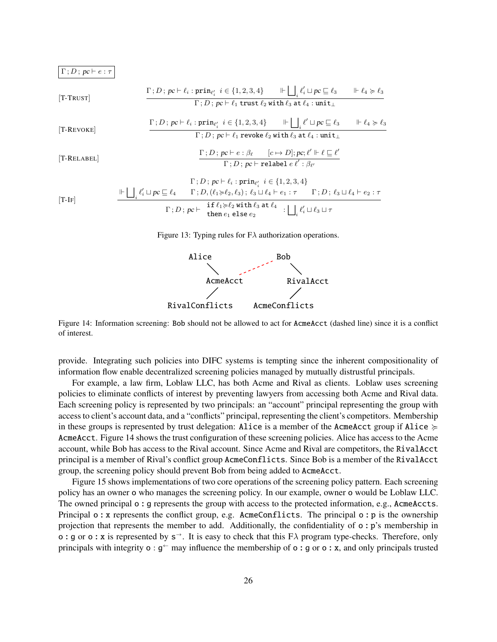<span id="page-25-0"></span> $\Gamma$ ; D; pc  $\vdash e : \tau$ 

$$
[\text{T-TRUE}] \qquad \qquad \frac{\Gamma; D; pc \vdash \ell_i : \text{prin}_{\ell_i} \ i \in \{1, 2, 3, 4\} \qquad \Vdash \bigsqcup_{i} \ell_i' \sqcup pc \sqsubseteq \ell_3 \qquad \Vdash \ell_4 \succcurlyeq \ell_3}{\Gamma; D; pc \vdash \ell_1 \ \text{trust } \ell_2 \ \text{with } \ell_3 \ \text{at } \ell_4 : \text{unit}\bot}
$$
\n
$$
[\text{T-REVOKE}] \qquad \qquad \frac{\Gamma; D; pc \vdash \ell_i : \text{prin}_{\ell_i} \ i \in \{1, 2, 3, 4\} \qquad \Vdash \bigsqcup_{i} \ell' \sqcup pc \sqsubseteq \ell_3 \qquad \Vdash \ell_4 \succcurlyeq \ell_3}{\Gamma; D; pc \vdash \ell_1 \ \text{revoke } \ell_2 \ \text{with } \ell_3 \ \text{at } \ell_4 : \text{unit}\bot}
$$
\n
$$
[\text{T-RELABEL}] \qquad \qquad \frac{\Gamma; D; pc \vdash e : \beta_{\ell} \qquad [c \mapsto D]; pc; \ell' \Vdash \ell \sqsubseteq \ell'}{\Gamma; D; pc \vdash \text{relabel } e \ \ell' : \beta_{\ell'}} \qquad \qquad \Gamma; D; pc \vdash \ell_i : \text{prin}_{\ell_i'} \ i \in \{1, 2, 3, 4\}
$$
\n
$$
[\text{T-IF}] \qquad \qquad \frac{\Vdash \bigsqcup_{i} \ell_i' \sqcup pc \sqsubseteq \ell_4 \qquad \Gamma; D, (\ell_1 \succ \ell_2, \ell_3) ; \ \ell_3 \sqcup \ell_4 \vdash e_1 : \tau \qquad \Gamma; D; \ \ell_3 \sqcup \ell_4 \vdash e_2 : \tau}{\Gamma; D; pc \vdash \text{then } \ell_1 \ \text{else } e_2} \qquad \qquad \frac{\Vdash \ell_i \succ \ell_i \ \text{with } \ell_3 \ \text{at } \ell_4 \qquad \qquad \frac{\ldash}{\ell_i} \ell_i' \sqcup \ell_3 \sqcup \tau}
$$

Figure 13: Typing rules for  $FA$  authorization operations.



<span id="page-25-1"></span>Figure 14: Information screening: Bob should not be allowed to act for AcmeAcct (dashed line) since it is a conflict of interest.

provide. Integrating such policies into DIFC systems is tempting since the inherent compositionality of information flow enable decentralized screening policies managed by mutually distrustful principals.

For example, a law firm, Loblaw LLC, has both Acme and Rival as clients. Loblaw uses screening policies to eliminate conflicts of interest by preventing lawyers from accessing both Acme and Rival data. Each screening policy is represented by two principals: an "account" principal representing the group with access to client's account data, and a "conflicts" principal, representing the client's competitors. Membership in these groups is represented by trust delegation: Alice is a member of the AcmeAcct group if Alice  $\succeq$ AcmeAcct. Figure [14](#page-25-1) shows the trust configuration of these screening policies. Alice has access to the Acme account, while Bob has access to the Rival account. Since Acme and Rival are competitors, the RivalAcct principal is a member of Rival's conflict group AcmeConflicts. Since Bob is a member of the RivalAcct group, the screening policy should prevent Bob from being added to AcmeAcct.

Figure [15](#page-26-1) shows implementations of two core operations of the screening policy pattern. Each screening policy has an owner o who manages the screening policy. In our example, owner o would be Loblaw LLC. The owned principal  $o: g$  represents the group with access to the protected information, e.g., AcmeAccts. Principal  $o: x$  represents the conflict group, e.g. AcmeConflicts. The principal  $o: p$  is the ownership projection that represents the member to add. Additionally, the confidentiality of o : p's membership in o : g or o : x is represented by  $s^{\rightarrow}$ . It is easy to check that this  $FA$  program type-checks. Therefore, only principals with integrity  $o : g^{\leftarrow}$  may influence the membership of  $o : g$  or  $o : x$ , and only principals trusted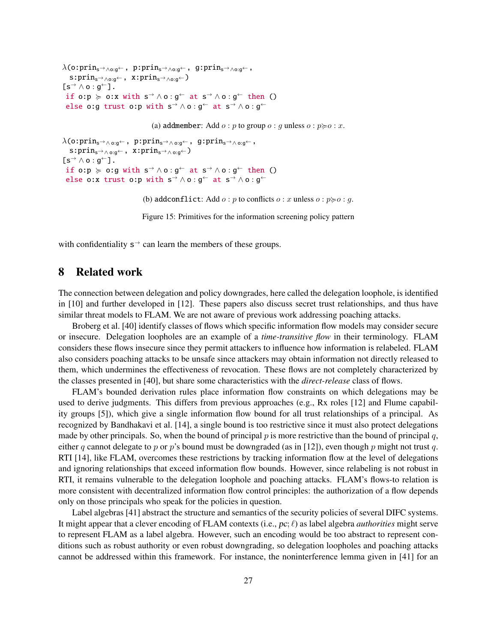```
\lambda(o:prin<sub>s→∧o:a</sub>←, p:prin<sub>s→∧o:a</sub>←, g:prin<sub>s→∧o:a</sub>←,
    s:prin<sub>s→∧o:g</sub>←, x:prin<sub>s→∧o:q</sub>←)
[s^{\rightarrow} \wedge o : g^{\leftarrow}].
 if o:p \succcurlyeq o:x with s<sup>→</sup> \wedge o : g<sup>←</sup> at s<sup>→</sup> \wedge o : g<sup>←</sup> then ()
  else o:g trust o:p with s<sup>→</sup> \wedge o:g<sup>←</sup> at s<sup>→</sup> \wedge o:g<sup>←</sup>
```
(a) addmember: Add  $o: p$  to group  $o: q$  unless  $o: p \geq o: x$ .

```
\lambda(o:prin<sub>s→∧o:g</sub>←, p:prin<sub>s→∧o:g</sub>←, g:prin<sub>s→∧o:g</sub>←,
   s:prin<sub>s→∧o:g</sub>←, x:prin<sub>s→∧o:g</sub>←)
[s^{\rightarrow} \wedge o:g^{\leftarrow}].
 if o: p \geq o: g with s \rightarrow \wedge o: g^{\leftarrow} at s \rightarrow \wedge o: g^{\leftarrow} then ()
  else o:x trust o:p with s<sup>→</sup> \wedge o : g<sup>←</sup> at s<sup>→</sup> \wedge o : g<sup>←</sup>
```
(b) addconflict: Add  $o: p$  to conflicts  $o: x$  unless  $o: p \succcurlyeq o: g$ .

Figure 15: Primitives for the information screening policy pattern

with confidentiality  $s^{\rightarrow}$  can learn the members of these groups.

### <span id="page-26-0"></span>8 Related work

The connection between delegation and policy downgrades, here called the delegation loophole, is identified in [\[10\]](#page-29-5) and further developed in [\[12\]](#page-29-3). These papers also discuss secret trust relationships, and thus have similar threat models to FLAM. We are not aware of previous work addressing poaching attacks.

Broberg et al. [\[40\]](#page-31-1) identify classes of flows which specific information flow models may consider secure or insecure. Delegation loopholes are an example of a *time-transitive flow* in their terminology. FLAM considers these flows insecure since they permit attackers to influence how information is relabeled. FLAM also considers poaching attacks to be unsafe since attackers may obtain information not directly released to them, which undermines the effectiveness of revocation. These flows are not completely characterized by the classes presented in [\[40\]](#page-31-1), but share some characteristics with the *direct-release* class of flows.

FLAM's bounded derivation rules place information flow constraints on which delegations may be used to derive judgments. This differs from previous approaches (e.g., Rx roles [\[12\]](#page-29-3) and Flume capability groups [\[5\]](#page-28-5)), which give a single information flow bound for all trust relationships of a principal. As recognized by Bandhakavi et al. [\[14\]](#page-29-2), a single bound is too restrictive since it must also protect delegations made by other principals. So, when the bound of principal  $p$  is more restrictive than the bound of principal  $q$ , either q cannot delegate to p or p's bound must be downgraded (as in [\[12\]](#page-29-3)), even though p might not trust q. RTI [\[14\]](#page-29-2), like FLAM, overcomes these restrictions by tracking information flow at the level of delegations and ignoring relationships that exceed information flow bounds. However, since relabeling is not robust in RTI, it remains vulnerable to the delegation loophole and poaching attacks. FLAM's flows-to relation is more consistent with decentralized information flow control principles: the authorization of a flow depends only on those principals who speak for the policies in question.

Label algebras [\[41\]](#page-31-2) abstract the structure and semantics of the security policies of several DIFC systems. It might appear that a clever encoding of FLAM contexts (i.e.,  $pc$ ;  $\ell$ ) as label algebra *authorities* might serve to represent FLAM as a label algebra. However, such an encoding would be too abstract to represent conditions such as robust authority or even robust downgrading, so delegation loopholes and poaching attacks cannot be addressed within this framework. For instance, the noninterference lemma given in [\[41\]](#page-31-2) for an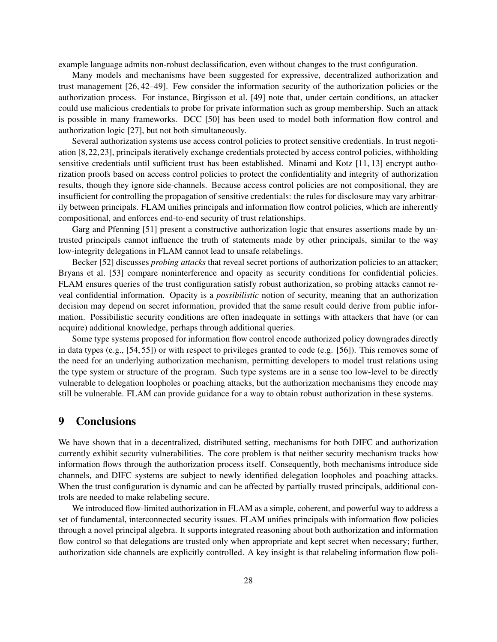example language admits non-robust declassification, even without changes to the trust configuration.

Many models and mechanisms have been suggested for expressive, decentralized authorization and trust management [\[26,](#page-30-7) [42](#page-31-3)[–49\]](#page-31-4). Few consider the information security of the authorization policies or the authorization process. For instance, Birgisson et al. [\[49\]](#page-31-4) note that, under certain conditions, an attacker could use malicious credentials to probe for private information such as group membership. Such an attack is possible in many frameworks. DCC [\[50\]](#page-31-5) has been used to model both information flow control and authorization logic [\[27\]](#page-30-3), but not both simultaneously.

Several authorization systems use access control policies to protect sensitive credentials. In trust negotiation [\[8,](#page-29-1)[22,](#page-30-16)[23\]](#page-30-0), principals iteratively exchange credentials protected by access control policies, withholding sensitive credentials until sufficient trust has been established. Minami and Kotz [\[11,](#page-29-12) [13\]](#page-29-13) encrypt authorization proofs based on access control policies to protect the confidentiality and integrity of authorization results, though they ignore side-channels. Because access control policies are not compositional, they are insufficient for controlling the propagation of sensitive credentials: the rules for disclosure may vary arbitrarily between principals. FLAM unifies principals and information flow control policies, which are inherently compositional, and enforces end-to-end security of trust relationships.

Garg and Pfenning [\[51\]](#page-31-6) present a constructive authorization logic that ensures assertions made by untrusted principals cannot influence the truth of statements made by other principals, similar to the way low-integrity delegations in FLAM cannot lead to unsafe relabelings.

Becker [\[52\]](#page-31-7) discusses *probing attacks* that reveal secret portions of authorization policies to an attacker; Bryans et al. [\[53\]](#page-31-8) compare noninterference and opacity as security conditions for confidential policies. FLAM ensures queries of the trust configuration satisfy robust authorization, so probing attacks cannot reveal confidential information. Opacity is a *possibilistic* notion of security, meaning that an authorization decision may depend on secret information, provided that the same result could derive from public information. Possibilistic security conditions are often inadequate in settings with attackers that have (or can acquire) additional knowledge, perhaps through additional queries.

Some type systems proposed for information flow control encode authorized policy downgrades directly in data types (e.g., [\[54,](#page-31-9) [55\]](#page-31-10)) or with respect to privileges granted to code (e.g. [\[56\]](#page-32-1)). This removes some of the need for an underlying authorization mechanism, permitting developers to model trust relations using the type system or structure of the program. Such type systems are in a sense too low-level to be directly vulnerable to delegation loopholes or poaching attacks, but the authorization mechanisms they encode may still be vulnerable. FLAM can provide guidance for a way to obtain robust authorization in these systems.

### 9 Conclusions

We have shown that in a decentralized, distributed setting, mechanisms for both DIFC and authorization currently exhibit security vulnerabilities. The core problem is that neither security mechanism tracks how information flows through the authorization process itself. Consequently, both mechanisms introduce side channels, and DIFC systems are subject to newly identified delegation loopholes and poaching attacks. When the trust configuration is dynamic and can be affected by partially trusted principals, additional controls are needed to make relabeling secure.

We introduced flow-limited authorization in FLAM as a simple, coherent, and powerful way to address a set of fundamental, interconnected security issues. FLAM unifies principals with information flow policies through a novel principal algebra. It supports integrated reasoning about both authorization and information flow control so that delegations are trusted only when appropriate and kept secret when necessary; further, authorization side channels are explicitly controlled. A key insight is that relabeling information flow poli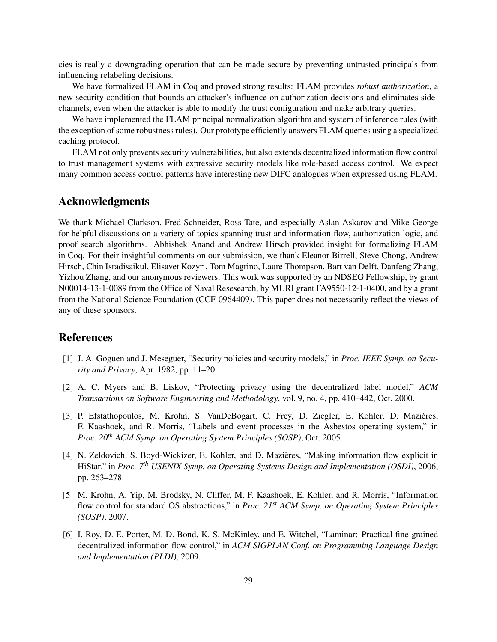cies is really a downgrading operation that can be made secure by preventing untrusted principals from influencing relabeling decisions.

We have formalized FLAM in Coq and proved strong results: FLAM provides *robust authorization*, a new security condition that bounds an attacker's influence on authorization decisions and eliminates sidechannels, even when the attacker is able to modify the trust configuration and make arbitrary queries.

We have implemented the FLAM principal normalization algorithm and system of inference rules (with the exception of some robustness rules). Our prototype efficiently answers FLAM queries using a specialized caching protocol.

FLAM not only prevents security vulnerabilities, but also extends decentralized information flow control to trust management systems with expressive security models like role-based access control. We expect many common access control patterns have interesting new DIFC analogues when expressed using FLAM.

### Acknowledgments

We thank Michael Clarkson, Fred Schneider, Ross Tate, and especially Aslan Askarov and Mike George for helpful discussions on a variety of topics spanning trust and information flow, authorization logic, and proof search algorithms. Abhishek Anand and Andrew Hirsch provided insight for formalizing FLAM in Coq. For their insightful comments on our submission, we thank Eleanor Birrell, Steve Chong, Andrew Hirsch, Chin Isradisaikul, Elisavet Kozyri, Tom Magrino, Laure Thompson, Bart van Delft, Danfeng Zhang, Yizhou Zhang, and our anonymous reviewers. This work was supported by an NDSEG Fellowship, by grant N00014-13-1-0089 from the Office of Naval Resesearch, by MURI grant FA9550-12-1-0400, and by a grant from the National Science Foundation (CCF-0964409). This paper does not necessarily reflect the views of any of these sponsors.

### References

- <span id="page-28-0"></span>[1] J. A. Goguen and J. Meseguer, "Security policies and security models," in *Proc. IEEE Symp. on Security and Privacy*, Apr. 1982, pp. 11–20.
- <span id="page-28-1"></span>[2] [A. C. Myers and B. Liskov, "Protecting privacy using the decentralized label model,"](http://www.cs.cornell.edu/andru/papers/iflow-tosem.pdf) *ACM [Transactions on Software Engineering and Methodology](http://www.cs.cornell.edu/andru/papers/iflow-tosem.pdf)*, vol. 9, no. 4, pp. 410–442, Oct. 2000.
- <span id="page-28-2"></span>[3] P. Efstathopoulos, M. Krohn, S. VanDeBogart, C. Frey, D. Ziegler, E. Kohler, D. Mazières, [F. Kaashoek, and R. Morris, "Labels and event processes in the Asbestos operating system," in](http://dl.acm.org/citation.cfm?id=1095813) *Proc. 20th [ACM Symp. on Operating System Principles \(SOSP\)](http://dl.acm.org/citation.cfm?id=1095813)*, Oct. 2005.
- <span id="page-28-4"></span>[4] N. Zeldovich, S. Boyd-Wickizer, E. Kohler, and D. Mazières, "Making information flow explicit in HiStar," in *Proc. 7th [USENIX Symp. on Operating Systems Design and Implementation \(OSDI\)](http://dl.acm.org/citation.cfm?id=2018419)*, 2006, [pp. 263–278.](http://dl.acm.org/citation.cfm?id=2018419)
- <span id="page-28-5"></span>[5] [M. Krohn, A. Yip, M. Brodsky, N. Cliffer, M. F. Kaashoek, E. Kohler, and R. Morris, "Information](http://dl.acm.org/citation.cfm?id=1294293) [flow control for standard OS abstractions," in](http://dl.acm.org/citation.cfm?id=1294293) *Proc. 21st ACM Symp. on Operating System Principles [\(SOSP\)](http://dl.acm.org/citation.cfm?id=1294293)*, 2007.
- <span id="page-28-3"></span>[6] [I. Roy, D. E. Porter, M. D. Bond, K. S. McKinley, and E. Witchel, "Laminar: Practical fine-grained](http://dl.acm.org/citation.cfm?id=1542484) decentralized information flow control," in *[ACM SIGPLAN Conf. on Programming Language Design](http://dl.acm.org/citation.cfm?id=1542484) [and Implementation \(PLDI\)](http://dl.acm.org/citation.cfm?id=1542484)*, 2009.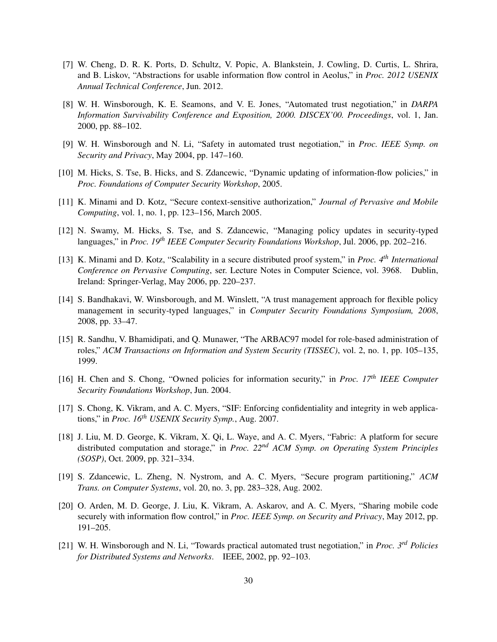- <span id="page-29-0"></span>[7] [W. Cheng, D. R. K. Ports, D. Schultz, V. Popic, A. Blankstein, J. Cowling, D. Curtis, L. Shrira,](http://dl.acm.org/citation.cfm?id=2342833) [and B. Liskov, "Abstractions for usable information flow control in Aeolus," in](http://dl.acm.org/citation.cfm?id=2342833) *Proc. 2012 USENIX [Annual Technical Conference](http://dl.acm.org/citation.cfm?id=2342833)*, Jun. 2012.
- <span id="page-29-1"></span>[8] [W. H. Winsborough, K. E. Seamons, and V. E. Jones, "Automated trust negotiation," in](http://ieeexplore.ieee.org/xpl/articleDetails.jsp?arnumber=824965) *DARPA [Information Survivability Conference and Exposition, 2000. DISCEX'00. Proceedings](http://ieeexplore.ieee.org/xpl/articleDetails.jsp?arnumber=824965)*, vol. 1, Jan. [2000, pp. 88–102.](http://ieeexplore.ieee.org/xpl/articleDetails.jsp?arnumber=824965)
- <span id="page-29-11"></span>[9] [W. H. Winsborough and N. Li, "Safety in automated trust negotiation," in](http://dl.acm.org/citation.cfm?id=1178623) *Proc. IEEE Symp. on Security and Privacy*[, May 2004, pp. 147–160.](http://dl.acm.org/citation.cfm?id=1178623)
- <span id="page-29-5"></span>[10] [M. Hicks, S. Tse, B. Hicks, and S. Zdancewic, "Dynamic updating of information-flow policies," in](http://www.cs.umd.edu/~mwh/papers/secupdate.pdf) *[Proc. Foundations of Computer Security Workshop](http://www.cs.umd.edu/~mwh/papers/secupdate.pdf)*, 2005.
- <span id="page-29-12"></span>[11] [K. Minami and D. Kotz, "Secure context-sensitive authorization,"](http://www.cs.dartmouth.edu/~dfk/papers/minami-jcsa.pdf) *Journal of Pervasive and Mobile Computing*[, vol. 1, no. 1, pp. 123–156, March 2005.](http://www.cs.dartmouth.edu/~dfk/papers/minami-jcsa.pdf)
- <span id="page-29-3"></span>[12] [N. Swamy, M. Hicks, S. Tse, and S. Zdancewic, "Managing policy updates in security-typed](http://www.cs.umd.edu/projects/PL/rx/rx.pdf) languages," in *Proc. 19th [IEEE Computer Security Foundations Workshop](http://www.cs.umd.edu/projects/PL/rx/rx.pdf)*, Jul. 2006, pp. 202–216.
- <span id="page-29-13"></span>[13] [K. Minami and D. Kotz, "Scalability in a secure distributed proof system," in](http://www.cs.dartmouth.edu/~dfk/papers/minami-scalability.pdf) *Proc. 4th International Conference on Pervasive Computing*[, ser. Lecture Notes in Computer Science, vol. 3968. Dublin,](http://www.cs.dartmouth.edu/~dfk/papers/minami-scalability.pdf) [Ireland: Springer-Verlag, May 2006, pp. 220–237.](http://www.cs.dartmouth.edu/~dfk/papers/minami-scalability.pdf)
- <span id="page-29-2"></span>[14] [S. Bandhakavi, W. Winsborough, and M. Winslett, "A trust management approach for flexible policy](http://ieeexplore.ieee.org/xpl/articleDetails.jsp?arnumber=4556677) management in security-typed languages," in *[Computer Security Foundations Symposium, 2008](http://ieeexplore.ieee.org/xpl/articleDetails.jsp?arnumber=4556677)*, [2008, pp. 33–47.](http://ieeexplore.ieee.org/xpl/articleDetails.jsp?arnumber=4556677)
- <span id="page-29-4"></span>[15] [R. Sandhu, V. Bhamidipati, and Q. Munawer, "The ARBAC97 model for role-based administration of](http://dl.acm.org/citation.cfm?id=300839) roles," *[ACM Transactions on Information and System Security \(TISSEC\)](http://dl.acm.org/citation.cfm?id=300839)*, vol. 2, no. 1, pp. 105–135, [1999.](http://dl.acm.org/citation.cfm?id=300839)
- <span id="page-29-6"></span>[16] [H. Chen and S. Chong, "Owned policies for information security," in](http://dl.acm.org/citation.cfm?id=1009380.1009671) *Proc. 17th IEEE Computer [Security Foundations Workshop](http://dl.acm.org/citation.cfm?id=1009380.1009671)*, Jun. 2004.
- <span id="page-29-7"></span>[17] S. Chong, K. Vikram, and A. C. Myers, "SIF: Enforcing confidentiality and integrity in web applications," in *Proc. 16th USENIX Security Symp.*, Aug. 2007.
- <span id="page-29-8"></span>[18] [J. Liu, M. D. George, K. Vikram, X. Qi, L. Waye, and A. C. Myers, "Fabric: A platform for secure](http://www.cs.cornell.edu/andru/papers/fabric-sosp09.html) distributed computation and storage," in *Proc. 22nd [ACM Symp. on Operating System Principles](http://www.cs.cornell.edu/andru/papers/fabric-sosp09.html) (SOSP)*[, Oct. 2009, pp. 321–334.](http://www.cs.cornell.edu/andru/papers/fabric-sosp09.html)
- <span id="page-29-9"></span>[19] [S. Zdancewic, L. Zheng, N. Nystrom, and A. C. Myers, "Secure program partitioning,"](http://www.cs.cornell.edu/andru/papers/sosp01/spp-tr.pdf) *ACM Trans. on Computer Systems*[, vol. 20, no. 3, pp. 283–328, Aug. 2002.](http://www.cs.cornell.edu/andru/papers/sosp01/spp-tr.pdf)
- <span id="page-29-10"></span>[20] [O. Arden, M. D. George, J. Liu, K. Vikram, A. Askarov, and A. C. Myers, "Sharing mobile code](http://www.cs.cornell.edu/andru/papers/mobile.html) securely with information flow control," in *[Proc. IEEE Symp. on Security and Privacy](http://www.cs.cornell.edu/andru/papers/mobile.html)*, May 2012, pp. [191–205.](http://www.cs.cornell.edu/andru/papers/mobile.html)
- <span id="page-29-14"></span>[21] W. H. Winsborough and N. Li, "Towards practical automated trust negotiation," in *Proc. 3rd Policies for Distributed Systems and Networks*. IEEE, 2002, pp. 92–103.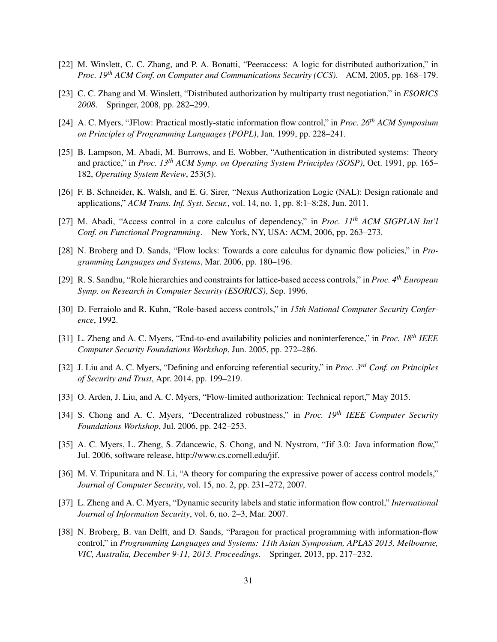- <span id="page-30-16"></span>[22] M. Winslett, C. C. Zhang, and P. A. Bonatti, "Peeraccess: A logic for distributed authorization," in *Proc. 19th ACM Conf. on Computer and Communications Security (CCS)*. ACM, 2005, pp. 168–179.
- <span id="page-30-0"></span>[23] C. C. Zhang and M. Winslett, "Distributed authorization by multiparty trust negotiation," in *ESORICS 2008*. Springer, 2008, pp. 282–299.
- <span id="page-30-1"></span>[24] [A. C. Myers, "JFlow: Practical mostly-static information flow control," in](http://www.cs.cornell.edu/andru/papers/popl99/popl99.pdf) *Proc. 26th ACM Symposium [on Principles of Programming Languages \(POPL\)](http://www.cs.cornell.edu/andru/papers/popl99/popl99.pdf)*, Jan. 1999, pp. 228–241.
- <span id="page-30-2"></span>[25] B. Lampson, M. Abadi, M. Burrows, and E. Wobber, "Authentication in distributed systems: Theory and practice," in *Proc. 13th ACM Symp. on Operating System Principles (SOSP)*, Oct. 1991, pp. 165– 182, *Operating System Review*, 253(5).
- <span id="page-30-7"></span>[26] [F. B. Schneider, K. Walsh, and E. G. Sirer, "Nexus Authorization Logic \(NAL\): Design rationale and](http://doi.acm.org/10.1145/1952982.1952990) applications," *ACM Trans. Inf. Syst. Secur.*[, vol. 14, no. 1, pp. 8:1–8:28, Jun. 2011.](http://doi.acm.org/10.1145/1952982.1952990)
- <span id="page-30-3"></span>[27] [M. Abadi, "Access control in a core calculus of dependency," in](http://doi.acm.org/10.1145/1159803.1159839) *Proc. 11th ACM SIGPLAN Int'l Conf. on Functional Programming*[. New York, NY, USA: ACM, 2006, pp. 263–273.](http://doi.acm.org/10.1145/1159803.1159839)
- <span id="page-30-4"></span>[28] N. Broberg and D. Sands, "Flow locks: Towards a core calculus for dynamic flow policies," in *Programming Languages and Systems*, Mar. 2006, pp. 180–196.
- <span id="page-30-5"></span>[29] R. S. Sandhu, "Role hierarchies and constraints for lattice-based access controls," in *Proc. 4th European Symp. on Research in Computer Security (ESORICS)*, Sep. 1996.
- <span id="page-30-6"></span>[30] D. Ferraiolo and R. Kuhn, "Role-based access controls," in *15th National Computer Security Conference*, 1992.
- <span id="page-30-8"></span>[31] [L. Zheng and A. C. Myers, "End-to-end availability policies and noninterference," in](http://www.cs.cornell.edu/andru/papers/avail.pdf) *Proc. 18th IEEE [Computer Security Foundations Workshop](http://www.cs.cornell.edu/andru/papers/avail.pdf)*, Jun. 2005, pp. 272–286.
- <span id="page-30-9"></span>[32] [J. Liu and A. C. Myers, "Defining and enforcing referential security," in](http://dx.doi.org/10.1007/978-3-642-54792-8_11) *Proc. 3rd Conf. on Principles of Security and Trust*[, Apr. 2014, pp. 199–219.](http://dx.doi.org/10.1007/978-3-642-54792-8_11)
- <span id="page-30-10"></span>[33] [O. Arden, J. Liu, and A. C. Myers, "Flow-limited authorization: Technical report," May 2015.](http://hdl.handle.net/1813/40138)
- <span id="page-30-11"></span>[34] [S. Chong and A. C. Myers, "Decentralized robustness," in](http://www.cs.cornell.edu/andru/papers/robdlm.pdf) *Proc. 19th IEEE Computer Security Foundations Workshop*[, Jul. 2006, pp. 242–253.](http://www.cs.cornell.edu/andru/papers/robdlm.pdf)
- <span id="page-30-12"></span>[35] [A. C. Myers, L. Zheng, S. Zdancewic, S. Chong, and N. Nystrom, "Jif 3.0: Java information flow,"](http://www.cs.cornell.edu/jif) Jul. 2006, software release, [http://www.cs.cornell.edu/jif.](http://www.cs.cornell.edu/jif)
- <span id="page-30-13"></span>[36] M. V. Tripunitara and N. Li, "A theory for comparing the expressive power of access control models," *Journal of Computer Security*, vol. 15, no. 2, pp. 231–272, 2007.
- <span id="page-30-14"></span>[37] L. Zheng and A. C. Myers, "Dynamic security labels and static information flow control," *International Journal of Information Security*, vol. 6, no. 2–3, Mar. 2007.
- <span id="page-30-15"></span>[38] N. Broberg, B. van Delft, and D. Sands, "Paragon for practical programming with information-flow control," in *Programming Languages and Systems: 11th Asian Symposium, APLAS 2013, Melbourne, VIC, Australia, December 9-11, 2013. Proceedings*. Springer, 2013, pp. 217–232.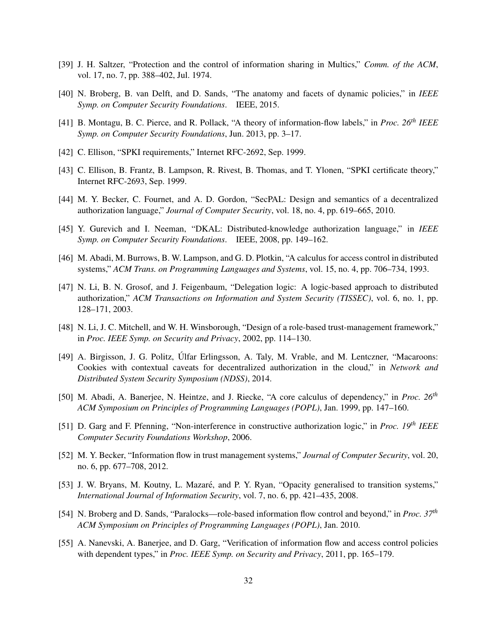- <span id="page-31-0"></span>[39] J. H. Saltzer, "Protection and the control of information sharing in Multics," *Comm. of the ACM*, vol. 17, no. 7, pp. 388–402, Jul. 1974.
- <span id="page-31-1"></span>[40] N. Broberg, B. van Delft, and D. Sands, "The anatomy and facets of dynamic policies," in *IEEE Symp. on Computer Security Foundations*. IEEE, 2015.
- <span id="page-31-2"></span>[41] [B. Montagu, B. C. Pierce, and R. Pollack, "A theory of information-flow labels," in](http://dl.acm.org/citation.cfm?id=2510409) *Proc. 26th IEEE [Symp. on Computer Security Foundations](http://dl.acm.org/citation.cfm?id=2510409)*, Jun. 2013, pp. 3–17.
- <span id="page-31-3"></span>[42] C. Ellison, "SPKI requirements," Internet RFC-2692, Sep. 1999.
- [43] C. Ellison, B. Frantz, B. Lampson, R. Rivest, B. Thomas, and T. Ylonen, "SPKI certificate theory," Internet RFC-2693, Sep. 1999.
- [44] [M. Y. Becker, C. Fournet, and A. D. Gordon, "SecPAL: Design and semantics of a decentralized](http://research.microsoft.com/apps/pubs/default.aspx?id=70334) authorization language," *Journal of Computer Security*[, vol. 18, no. 4, pp. 619–665, 2010.](http://research.microsoft.com/apps/pubs/default.aspx?id=70334)
- [45] Y. Gurevich and I. Neeman, "DKAL: Distributed-knowledge authorization language," in *IEEE Symp. on Computer Security Foundations*. IEEE, 2008, pp. 149–162.
- [46] M. Abadi, M. Burrows, B. W. Lampson, and G. D. Plotkin, "A calculus for access control in distributed systems," *ACM Trans. on Programming Languages and Systems*, vol. 15, no. 4, pp. 706–734, 1993.
- [47] [N. Li, B. N. Grosof, and J. Feigenbaum, "Delegation logic: A logic-based approach to distributed](http://dl.acm.org/citation.cfm?id=605438) authorization," *[ACM Transactions on Information and System Security \(TISSEC\)](http://dl.acm.org/citation.cfm?id=605438)*, vol. 6, no. 1, pp. [128–171, 2003.](http://dl.acm.org/citation.cfm?id=605438)
- [48] [N. Li, J. C. Mitchell, and W. H. Winsborough, "Design of a role-based trust-management framework,"](http://dl.acm.org/citation.cfm?id=829514.830539) in *[Proc. IEEE Symp. on Security and Privacy](http://dl.acm.org/citation.cfm?id=829514.830539)*, 2002, pp. 114–130.
- <span id="page-31-4"></span>[49] A. Birgisson, J. G. Politz, [Ulfar Erlingsson, A. Taly, M. Vrable, and M. Lentczner, "Macaroons:](http://theory.stanford.edu/~ataly/Papers/macaroons.pdf) ´ [Cookies with contextual caveats for decentralized authorization in the cloud," in](http://theory.stanford.edu/~ataly/Papers/macaroons.pdf) *Network and [Distributed System Security Symposium \(NDSS\)](http://theory.stanford.edu/~ataly/Papers/macaroons.pdf)*, 2014.
- <span id="page-31-5"></span>[50] [M. Abadi, A. Banerjee, N. Heintze, and J. Riecke, "A core calculus of dependency," in](http://dl.acm.org/citation.cfm?id=292555) *Proc. 26th [ACM Symposium on Principles of Programming Languages \(POPL\)](http://dl.acm.org/citation.cfm?id=292555)*, Jan. 1999, pp. 147–160.
- <span id="page-31-6"></span>[51] [D. Garg and F. Pfenning, "Non-interference in constructive authorization logic," in](http://dl.acm.org/citation.cfm?id=1155684) *Proc. 19th IEEE [Computer Security Foundations Workshop](http://dl.acm.org/citation.cfm?id=1155684)*, 2006.
- <span id="page-31-7"></span>[52] M. Y. Becker, "Information flow in trust management systems," *Journal of Computer Security*, vol. 20, no. 6, pp. 677–708, 2012.
- <span id="page-31-8"></span>[53] J. W. Bryans, M. Koutny, L. Mazare, and P. Y. Ryan, "Opacity generalised to transition systems," ´ *International Journal of Information Security*, vol. 7, no. 6, pp. 421–435, 2008.
- <span id="page-31-9"></span>[54] [N. Broberg and D. Sands, "Paralocks—role-based information flow control and beyond," in](http://dl.acm.org/citation.cfm?id=1706349) *Proc. 37th [ACM Symposium on Principles of Programming Languages \(POPL\)](http://dl.acm.org/citation.cfm?id=1706349)*, Jan. 2010.
- <span id="page-31-10"></span>[55] [A. Nanevski, A. Banerjee, and D. Garg, "Verification of information flow and access control policies](http://dl.acm.org/citation.cfm?id=2006764) with dependent types," in *[Proc. IEEE Symp. on Security and Privacy](http://dl.acm.org/citation.cfm?id=2006764)*, 2011, pp. 165–179.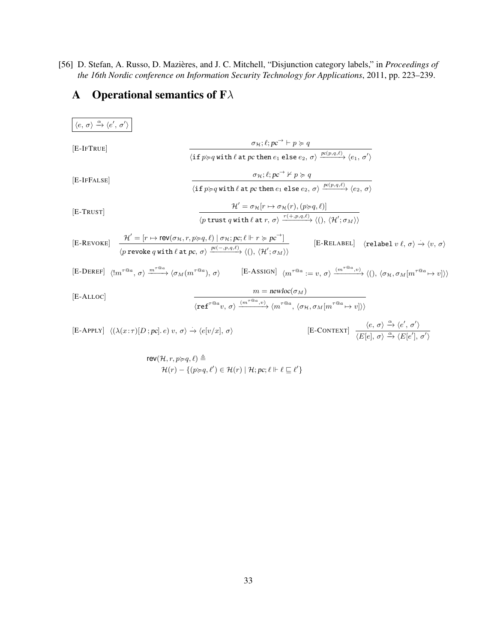<span id="page-32-1"></span>[56] [D. Stefan, A. Russo, D. Mazieres, and J. C. Mitchell, "Disjunction category labels," in](www.scs.stanford.edu/~dm/home/papers/stefan:dclabels.pdf) ` *Proceedings of [the 16th Nordic conference on Information Security Technology for Applications](www.scs.stanford.edu/~dm/home/papers/stefan:dclabels.pdf)*, 2011, pp. 223–239.

# <span id="page-32-0"></span>A Operational semantics of  ${\bf F}\lambda$

$$
\boxed{(e, \sigma) \xrightarrow{\alpha} \langle e', \sigma' \rangle}
$$
\n[E-IFTRUE]\n  
\n[E-IFRUE]\n  
\n
$$
\boxed{[E-IFRUE]}
$$
\n
$$
\boxed{[E-IFRUSE]}
$$
\n
$$
\boxed{[E-TRUST]}
$$
\n[E-TRUST]\n  
\n
$$
\boxed{[E-TRUST]}
$$
\n
$$
\boxed{[E-TRUST]}
$$
\n
$$
\boxed{[E-TRUST]}
$$
\n
$$
\boxed{[E-TRUST]}
$$
\n
$$
\boxed{[E-TRUST]}
$$
\n
$$
\boxed{[E-TRUST]}
$$
\n
$$
\boxed{[E-TRUST]}
$$
\n
$$
\boxed{[E-TRUST]}
$$
\n
$$
\boxed{[E-TRUST]}
$$
\n
$$
\boxed{[E-TRUST]}
$$
\n
$$
\boxed{[E-TRUST]}
$$
\n
$$
\boxed{[E-TRUST]}
$$
\n
$$
\boxed{[E-TRUST]}
$$
\n
$$
\boxed{[E-TRUST]}
$$
\n
$$
\boxed{[E-TRUST]}
$$
\n
$$
\boxed{[E-TRUST]}
$$
\n
$$
\boxed{[E-TRUST]}
$$
\n
$$
\boxed{[E-TRUST]}
$$
\n
$$
\boxed{[E-TRUST]}
$$
\n
$$
\boxed{[E-TRUST]}
$$
\n
$$
\boxed{[E-TRUST]}
$$
\n
$$
\boxed{[E-TRUST]}
$$
\n
$$
\boxed{[E-TRUST]}
$$
\n
$$
\boxed{[E-TRUST]}
$$
\n
$$
\boxed{[E-TRUST]}
$$
\n
$$
\boxed{[E-TRUST]}
$$
\n
$$
\boxed{[E-TRUST]}
$$
\n
$$
\boxed{[E-TRUST]}
$$
\n
$$
\boxed{[E-TRUST]}
$$
\n
$$
\boxed{[E-TRUST]}
$$
\n
$$
\boxed{[E-TRUST]}
$$
\n
$$
\boxed{[E-TRUST]}
$$
\n
$$
\boxed{[E-TRUST]}
$$
\n
$$
\boxed{[E-TRUST]}
$$
\n
$$
\boxed{[E-TRUST]}
$$
\n
$$
\boxed{[E-TRUST]}
$$
\n
$$
\boxed{[E-TRUST]}
$$
\n<math display="</math>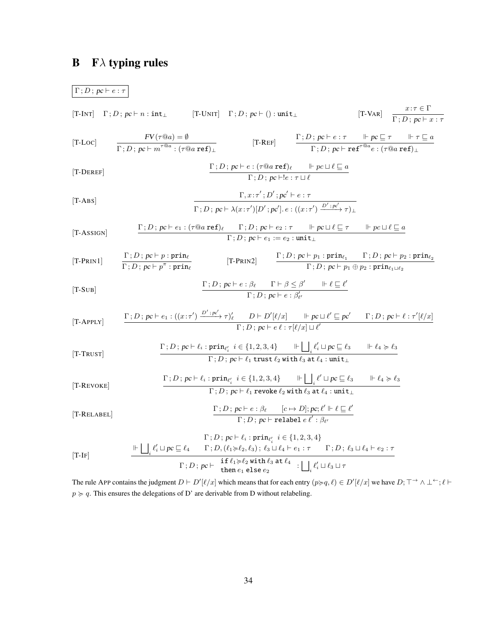# <span id="page-33-0"></span> $\boxed{\Gamma\,;D\,;\,pc\vdash e:\tau}$

$$
[\text{T-INT}] \quad \Gamma; D; p \text{c} \vdash n : \text{int}_{\text{L}} \quad [\text{T-UNT}] \quad \Gamma; D; p \text{c} \vdash () : \text{unit}_{\text{L}} \quad [\text{T-VAR}] \quad \frac{x : \tau \in \Gamma}{\Gamma; D; p \text{c} \vdash n : \tau \tau} \text{if } \tau \in \text{P}(x) \text{ and } \tau \in \text{P}(x) \text{if } \tau \in \text{P}(x) \text{if } \tau \in \text{P}(x) \text{if } \tau \in \text{P}(x) \text{if } \tau \in \text{P}(x) \text{if } \tau \in \text{P}(x) \text{if } \tau \in \text{P}(x) \text{if } \tau \in \text{P}(x) \text{if } \tau \in \text{P}(x) \text{if } \tau \in \text{P}(x) \text{if } \tau \in \text{P}(x) \text{if } \tau \in \text{P}(x) \text{if } \tau \in \text{P}(x) \text{if } \tau \in \text{P}(x) \text{if } \tau \in \text{P}(x) \text{if } \tau \in \text{P}(x) \text{if } \tau \in \text{P}(x) \text{if } \tau \in \text{P}(x) \text{if } \tau \in \text{P}(x) \text{if } \tau \in \text{P}(x) \text{if } \tau \in \text{P}(x) \text{if } \tau \in \text{P}(x) \text{if } \tau \in \text{P}(x) \text{if } \tau \in \text{P}(x) \text{if } \tau \in \text{P}(x) \text{if } \tau \in \text{P}(x) \text{if } \tau \in \text{P}(x) \text{if } \tau \in \text{P}(x) \text{if } \tau \in \text{P}(x) \text{if } \tau \in \text{P}(x) \text{if } \tau \in \text{P}(x) \text{if } \tau \in \text{P}(x) \text{if } \tau \in \text{P}(x) \text{if } \tau \in \text{P}(x) \text{if } \tau \in \text{P}(x) \text{if } \tau \in \text{P}(x) \text{if } \tau \in \text{P}(x) \text{if } \tau \in \text{P}(x) \text{if } \tau \in \text{P}(x) \text{if } \
$$

The rule APP contains the judgment  $D \vdash D'[\ell/x]$  which means that for each entry  $(p \succcurlyeq q, \ell) \in D'[\ell/x]$  we have  $D; \top \rightarrow \wedge \bot \rightarrow; \ell \vdash$  $p \geq q$ . This ensures the delegations of D' are derivable from D without relabeling.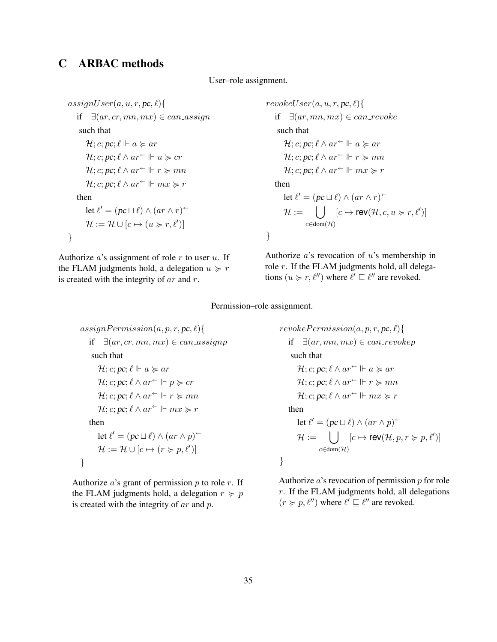## <span id="page-34-0"></span>C ARBAC methods

User–role assignment.

```
assignUser(a, u, r, pc, \ell){
    if \exists (ar, cr, mn, mx) \in can\_assignsuch that
         \mathcal{H}; c; pc; \ell \Vdash a \succcurlyeq ar\mathcal{H}; c; pc; \ell \wedge ar^{\leftarrow} \Vdash u \succcurlyeq cr\mathcal{H}; c; pc; \ell \wedge ar^{\leftarrow} \Vdash r \succcurlyeq mn\mathcal{H}; c; pc; \ell \wedge ar^{\leftarrow} \Vdash mx \succcurlyeq rthen
          let \ell' = (pc \sqcup \ell) \wedge (ar \wedge r)^{\leftarrow}\mathcal{H} := \mathcal{H} \cup [c \mapsto (u \succcurlyeq r, \ell')]}
```
Authorize  $a$ 's assignment of role  $r$  to user  $u$ . If the FLAM judgments hold, a delegation  $u \geq r$ is created with the integrity of  $ar$  and  $r$ .

$$
revokeUser(a, u, r, pc, \ell) \{ \\ \text{if} \quad \exists (ar, mn, mx) \in can\_revoke \\ \text{such that} \\ \mathcal{H}; c; pc; \ell \wedge ar^{\leftarrow} \Vdash a \succcurlyeq ar \\ \mathcal{H}; c; pc; \ell \wedge ar^{\leftarrow} \Vdash r \succcurlyeq mn \\ \mathcal{H}; c; pc; \ell \wedge ar^{\leftarrow} \Vdash mx \succcurlyeq r \\ \text{then} \\ \text{let } \ell' = (pc \sqcup \ell) \wedge (ar \wedge r)^{\leftarrow} \\ \mathcal{H} := \bigcup_{c \in \text{dom}(\mathcal{H})} [c \mapsto \text{rev}(\mathcal{H}, c, u \succcurlyeq r, \ell')] \\ \} \end{aligned}
$$

Authorize  $a$ 's revocation of  $u$ 's membership in role r. If the FLAM judgments hold, all delegations  $(u \succcurlyeq r, \ell'')$  where  $\ell' \sqsubseteq \ell''$  are revoked.

#### Permission–role assignment.

 $assignPermission(a, p, r, pc, \ell)$ { if  $\exists (ar, cr, mn, mx) \in can\_assignp$ such that  $\mathcal{H}$ ; c; pc;  $\ell \Vdash a \succcurlyeq ar$  $\mathcal{H}$ ; c; pc;  $\ell \wedge ar^{\leftarrow} \Vdash p \succcurlyeq cr$  $\mathcal{H}$ ; c; pc;  $\ell \wedge ar^{\leftarrow} \Vdash r \succcurlyeq mn$  $\mathcal{H}$ ; c; pc;  $\ell \wedge ar^{\leftarrow} \Vdash mx \succcurlyeq r$ then let  $\ell' = (pc \sqcup \ell) \wedge (ar \wedge p)^{\leftarrow}$  $\mathcal{H} := \mathcal{H} \cup [c \mapsto (r \succcurlyeq p, \ell')]$ }

Authorize  $a$ 's grant of permission  $p$  to role  $r$ . If the FLAM judgments hold, a delegation  $r \geq p$ is created with the integrity of  $ar$  and  $p$ .

 $revolePermission(a, p, r, pc, \ell)$ { if  $\exists (ar, mn, mx) \in can\_revolep$ such that  $\mathcal{H}$ ; c; pc;  $\ell \wedge ar^{\leftarrow} \Vdash a \succcurlyeq ar$  $\mathcal{H}$ ; c; pc;  $\ell \wedge ar^{\leftarrow} \Vdash r \succcurlyeq mn$  $\mathcal{H}$ ; c; pc;  $\ell \wedge ar^{\leftarrow} \Vdash mx \succcurlyeq r$ then let  $\ell' = (pc \sqcup \ell) \wedge (ar \wedge p)^{\leftarrow}$  $\mathcal{H} := \quad \left( \begin{array}{cc} \end{array} \right| \quad [c \mapsto \mathsf{rev}(\mathcal{H}, p, r \succcurlyeq p, \ell')]$  $c \in \text{dom}(\mathcal{H})$ }

Authorize  $a$ 's revocation of permission  $p$  for role  $r$ . If the FLAM judgments hold, all delegations  $(r \succcurlyeq p, \ell'')$  where  $\ell' \sqsubseteq \ell''$  are revoked.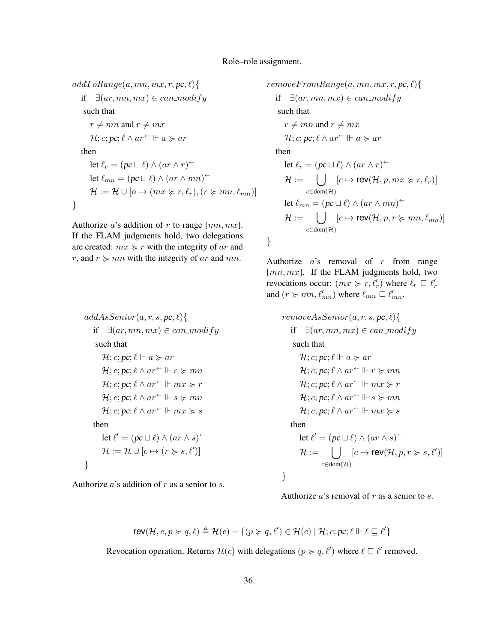### Role–role assignment.

```
addToRange(a, mn, mx, r, pc, \ell)
```

```
if \exists (ar, mn, mx) \in can\_modifysuch that
        r \neq mn and r \neq mx\mathcal{H}; c; pc; \ell \wedge ar^{\leftarrow} \Vdash a \succcurlyeq arthen
         let \ell_r = (pc \sqcup \ell) \wedge (ar \wedge r)^{\leftarrow}let \ell_{mn} = (pc \sqcup \ell) \wedge (ar \wedge mn)^{\leftarrow}\mathcal{H} := \mathcal{H} \cup [o \mapsto (mx \succcurlyeq r, \ell_r), (r \succcurlyeq mn, \ell_{mn})]}
```
Authorize  $a$ 's addition of  $r$  to range  $[mn, mx]$ . If the FLAM judgments hold, two delegations are created:  $mx \ge r$  with the integrity of ar and r, and  $r \geq m n$  with the integrity of ar and mn.

$$
addAsSenior(a, r, s, pc, \ell) \{ \n\begin{aligned}\n\text{if } &\exists (ar, mn, mx) \in can\_modify\n\end{aligned}\n\} such that\n\begin{aligned}\n\mathcal{H}; &c pc; \ell \Vdash a \succcurlyeq ar \\
\mathcal{H}; &c pc; \ell \wedge ar^{\leftarrow} \Vdash r \succcurlyeq mn \\
\mathcal{H}; &c pc; \ell \wedge ar^{\leftarrow} \Vdash mx \succcurlyeq r \\
\mathcal{H}; &c pc; \ell \wedge ar^{\leftarrow} \Vdash s \succcurlyeq mn \\
\mathcal{H}; &c pc; \ell \wedge ar^{\leftarrow} \Vdash mx \succcurlyeq s \\
\text{then} \\
\text{let } \ell' = (pc \sqcup \ell) \wedge (ar \wedge s)^{\leftarrow} \\
\mathcal{H} := \mathcal{H} \cup [c \mapsto (r \succcurlyeq s, \ell')]\n\end{aligned}\n\}
$$

Authorize  $a$ 's addition of  $r$  as a senior to  $s$ .

$$
removeFromRange(a, mn, mx, r, pc, \ell)
$$
\n
$$
\text{if } \exists (ar, mn, mx) \in can\_modify}
$$
\n
$$
\text{such that}
$$
\n
$$
r \neq mn \text{ and } r \neq mx
$$
\n
$$
\mathcal{H}; c; pc; \ell \wedge ar^{\leftarrow} \Vdash a \succcurlyeq ar
$$
\n
$$
\text{then}
$$
\n
$$
\text{let } \ell_r = (pc \sqcup \ell) \wedge (ar \wedge r)^{\leftarrow}
$$
\n
$$
\mathcal{H} := \bigcup_{c \in \text{dom}(\mathcal{H})} [c \mapsto \text{rev}(\mathcal{H}, p, mx \succcurlyeq r, \ell_r)]
$$
\n
$$
\text{let } \ell_{mn} = (pc \sqcup \ell) \wedge (ar \wedge mn)^{\leftarrow}
$$
\n
$$
\mathcal{H} := \bigcup_{c \in \text{dom}(\mathcal{H})} [c \mapsto \text{rev}(\mathcal{H}, p, r \succcurlyeq mn, \ell_{mn})]
$$

Authorize  $a$ 's removal of  $r$  from range  $[mn, mx]$ . If the FLAM judgments hold, two revocations occur:  $(mx \succcurlyeq r, \ell'_r)$  where  $\ell_r \sqsubseteq \ell'_r$ and  $(r \succcurlyeq mn, \ell'_{mn})$  where  $\ell_{mn} \sqsubseteq \ell'_{mn}$ .

$$
removeAsSenior(a, r, s, pc, \ell) \{ \n \begin{aligned}\n &\text{if} \quad \exists (ar, mn, mx) \in can\_modify \\
 &\text{such that} \quad \mathcal{H}; c; pc; \ell \Vdash a \succcurlyeq ar \\
 &\mathcal{H}; c; pc; \ell \wedge ar^{\leftarrow} \Vdash r \succcurlyeq mn \\
 &\mathcal{H}; c; pc; \ell \wedge ar^{\leftarrow} \Vdash mx \succcurlyeq r \\
 &\mathcal{H}; c; pc; \ell \wedge ar^{\leftarrow} \Vdash s \succcurlyeq mn \\
 &\mathcal{H}; c; pc; \ell \wedge ar^{\leftarrow} \Vdash mx \succcurlyeq s \\
 &\text{then} \quad \text{let } \ell' = (pc \sqcup \ell) \wedge (ar \wedge s)^{\leftarrow} \\
 &\mathcal{H} := \bigcup_{c \in \text{dom}(\mathcal{H})} [c \mapsto \text{rev}(\mathcal{H}, p, r \succcurlyeq s, \ell')] \n \} \n \end{aligned}
$$

Authorize  $a$ 's removal of  $r$  as a senior to  $s$ .

$$
rev(\mathcal{H}, c, p \succcurlyeq q, \ell) \triangleq \mathcal{H}(c) - \{(p \succcurlyeq q, \ell') \in \mathcal{H}(c) \mid \mathcal{H}; c; pc; \ell \Vdash \ell \sqsubseteq \ell'\}
$$

Revocation operation. Returns  $\mathcal{H}(c)$  with delegations  $(p \succcurlyeq q, \ell')$  where  $\ell \sqsubseteq \ell'$  removed.